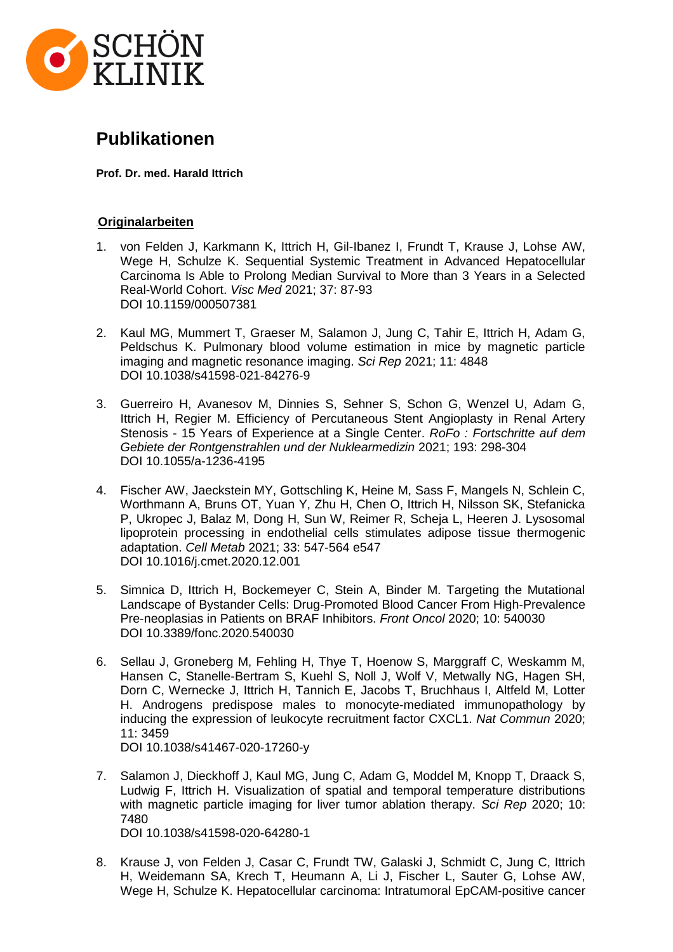

# **Publikationen**

**Prof. Dr. med. Harald Ittrich**

## 74B**Originalarbeiten**

- 1. von Felden J, Karkmann K, Ittrich H, Gil-Ibanez I, Frundt T, Krause J, Lohse AW, Wege H, Schulze K. Sequential Systemic Treatment in Advanced Hepatocellular Carcinoma Is Able to Prolong Median Survival to More than 3 Years in a Selected Real-World Cohort. *Visc Med* 2021; 37: 87-93 DOI 10.1159/000507381
- 2. Kaul MG, Mummert T, Graeser M, Salamon J, Jung C, Tahir E, Ittrich H, Adam G, Peldschus K. Pulmonary blood volume estimation in mice by magnetic particle imaging and magnetic resonance imaging. *Sci Rep* 2021; 11: 4848 DOI 10.1038/s41598-021-84276-9
- 3. Guerreiro H, Avanesov M, Dinnies S, Sehner S, Schon G, Wenzel U, Adam G, Ittrich H, Regier M. Efficiency of Percutaneous Stent Angioplasty in Renal Artery Stenosis - 15 Years of Experience at a Single Center. *RoFo : Fortschritte auf dem Gebiete der Rontgenstrahlen und der Nuklearmedizin* 2021; 193: 298-304 DOI 10.1055/a-1236-4195
- 4. Fischer AW, Jaeckstein MY, Gottschling K, Heine M, Sass F, Mangels N, Schlein C, Worthmann A, Bruns OT, Yuan Y, Zhu H, Chen O, Ittrich H, Nilsson SK, Stefanicka P, Ukropec J, Balaz M, Dong H, Sun W, Reimer R, Scheja L, Heeren J. Lysosomal lipoprotein processing in endothelial cells stimulates adipose tissue thermogenic adaptation. *Cell Metab* 2021; 33: 547-564 e547 DOI 10.1016/j.cmet.2020.12.001
- 5. Simnica D, Ittrich H, Bockemeyer C, Stein A, Binder M. Targeting the Mutational Landscape of Bystander Cells: Drug-Promoted Blood Cancer From High-Prevalence Pre-neoplasias in Patients on BRAF Inhibitors. *Front Oncol* 2020; 10: 540030 DOI 10.3389/fonc.2020.540030
- 6. Sellau J, Groneberg M, Fehling H, Thye T, Hoenow S, Marggraff C, Weskamm M, Hansen C, Stanelle-Bertram S, Kuehl S, Noll J, Wolf V, Metwally NG, Hagen SH, Dorn C, Wernecke J, Ittrich H, Tannich E, Jacobs T, Bruchhaus I, Altfeld M, Lotter H. Androgens predispose males to monocyte-mediated immunopathology by inducing the expression of leukocyte recruitment factor CXCL1. *Nat Commun* 2020; 11: 3459 DOI 10.1038/s41467-020-17260-y
- 7. Salamon J, Dieckhoff J, Kaul MG, Jung C, Adam G, Moddel M, Knopp T, Draack S, Ludwig F, Ittrich H. Visualization of spatial and temporal temperature distributions with magnetic particle imaging for liver tumor ablation therapy. *Sci Rep* 2020; 10: 7480 DOI 10.1038/s41598-020-64280-1
- 8. Krause J, von Felden J, Casar C, Frundt TW, Galaski J, Schmidt C, Jung C, Ittrich H, Weidemann SA, Krech T, Heumann A, Li J, Fischer L, Sauter G, Lohse AW, Wege H, Schulze K. Hepatocellular carcinoma: Intratumoral EpCAM-positive cancer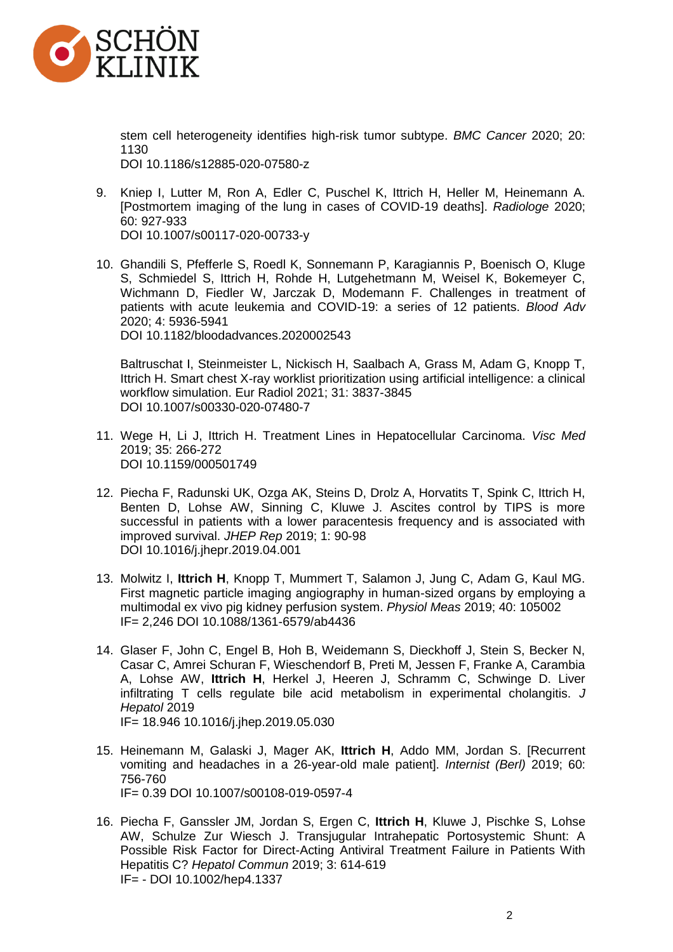

stem cell heterogeneity identifies high-risk tumor subtype. *BMC Cancer* 2020; 20: 1130 DOI 10.1186/s12885-020-07580-z

9. Kniep I, Lutter M, Ron A, Edler C, Puschel K, Ittrich H, Heller M, Heinemann A. [Postmortem imaging of the lung in cases of COVID-19 deaths]. *Radiologe* 2020; 60: 927-933

DOI 10.1007/s00117-020-00733-y

10. Ghandili S, Pfefferle S, Roedl K, Sonnemann P, Karagiannis P, Boenisch O, Kluge S, Schmiedel S, Ittrich H, Rohde H, Lutgehetmann M, Weisel K, Bokemeyer C, Wichmann D, Fiedler W, Jarczak D, Modemann F. Challenges in treatment of patients with acute leukemia and COVID-19: a series of 12 patients. *Blood Adv* 2020; 4: 5936-5941 DOI 10.1182/bloodadvances.2020002543

Baltruschat I, Steinmeister L, Nickisch H, Saalbach A, Grass M, Adam G, Knopp T, Ittrich H. Smart chest X-ray worklist prioritization using artificial intelligence: a clinical workflow simulation. Eur Radiol 2021; 31: 3837-3845 DOI 10.1007/s00330-020-07480-7

- 11. Wege H, Li J, Ittrich H. Treatment Lines in Hepatocellular Carcinoma. *Visc Med* 2019; 35: 266-272 DOI 10.1159/000501749
- 12. Piecha F, Radunski UK, Ozga AK, Steins D, Drolz A, Horvatits T, Spink C, Ittrich H, Benten D, Lohse AW, Sinning C, Kluwe J. Ascites control by TIPS is more successful in patients with a lower paracentesis frequency and is associated with improved survival. *JHEP Rep* 2019; 1: 90-98 DOI 10.1016/j.jhepr.2019.04.001
- 13. Molwitz I, **Ittrich H**, Knopp T, Mummert T, Salamon J, Jung C, Adam G, Kaul MG. First magnetic particle imaging angiography in human-sized organs by employing a multimodal ex vivo pig kidney perfusion system. *Physiol Meas* 2019; 40: 105002 IF= 2,246 DOI 10.1088/1361-6579/ab4436
- 14. Glaser F, John C, Engel B, Hoh B, Weidemann S, Dieckhoff J, Stein S, Becker N, Casar C, Amrei Schuran F, Wieschendorf B, Preti M, Jessen F, Franke A, Carambia A, Lohse AW, **Ittrich H**, Herkel J, Heeren J, Schramm C, Schwinge D. Liver infiltrating T cells regulate bile acid metabolism in experimental cholangitis. *J Hepatol* 2019 IF= 18.946 10.1016/j.jhep.2019.05.030
- 15. Heinemann M, Galaski J, Mager AK, **Ittrich H**, Addo MM, Jordan S. [Recurrent vomiting and headaches in a 26-year-old male patient]. *Internist (Berl)* 2019; 60: 756-760 IF= 0.39 DOI 10.1007/s00108-019-0597-4
- 16. Piecha F, Ganssler JM, Jordan S, Ergen C, **Ittrich H**, Kluwe J, Pischke S, Lohse AW, Schulze Zur Wiesch J. Transjugular Intrahepatic Portosystemic Shunt: A Possible Risk Factor for Direct-Acting Antiviral Treatment Failure in Patients With Hepatitis C? *Hepatol Commun* 2019; 3: 614-619 IF= - DOI 10.1002/hep4.1337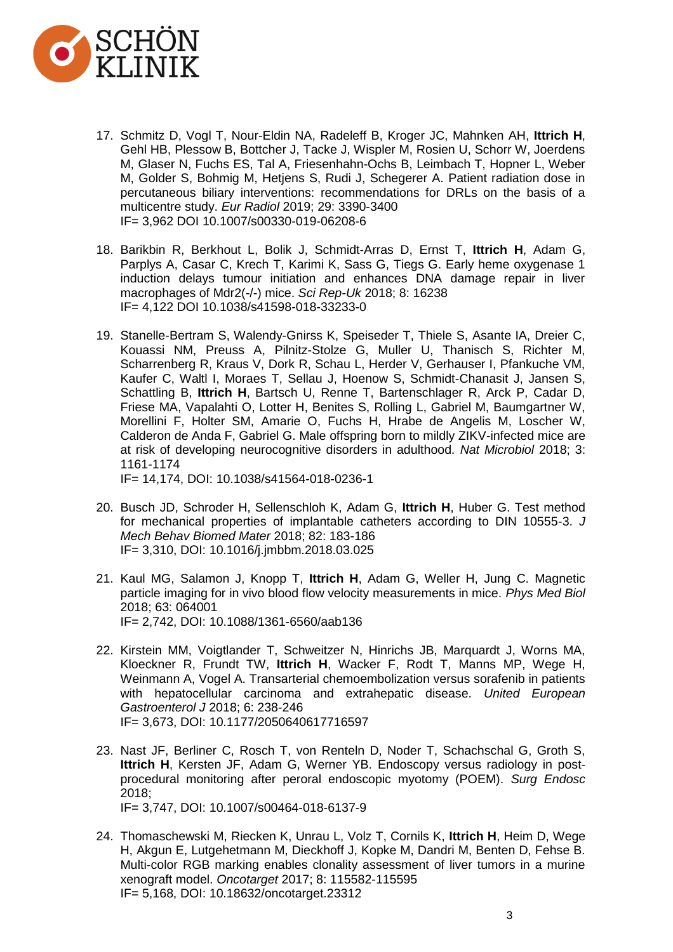

- 17. Schmitz D, Vogl T, Nour-Eldin NA, Radeleff B, Kroger JC, Mahnken AH, **Ittrich H**, Gehl HB, Plessow B, Bottcher J, Tacke J, Wispler M, Rosien U, Schorr W, Joerdens M, Glaser N, Fuchs ES, Tal A, Friesenhahn-Ochs B, Leimbach T, Hopner L, Weber M, Golder S, Bohmig M, Hetjens S, Rudi J, Schegerer A. Patient radiation dose in percutaneous biliary interventions: recommendations for DRLs on the basis of a multicentre study. *Eur Radiol* 2019; 29: 3390-3400 IF= 3,962 DOI 10.1007/s00330-019-06208-6
- 18. Barikbin R, Berkhout L, Bolik J, Schmidt-Arras D, Ernst T, **Ittrich H**, Adam G, Parplys A, Casar C, Krech T, Karimi K, Sass G, Tiegs G. Early heme oxygenase 1 induction delays tumour initiation and enhances DNA damage repair in liver macrophages of Mdr2(-/-) mice. *Sci Rep-Uk* 2018; 8: 16238 IF= 4,122 DOI 10.1038/s41598-018-33233-0
- 19. Stanelle-Bertram S, Walendy-Gnirss K, Speiseder T, Thiele S, Asante IA, Dreier C, Kouassi NM, Preuss A, Pilnitz-Stolze G, Muller U, Thanisch S, Richter M, Scharrenberg R, Kraus V, Dork R, Schau L, Herder V, Gerhauser I, Pfankuche VM, Kaufer C, Waltl I, Moraes T, Sellau J, Hoenow S, Schmidt-Chanasit J, Jansen S, Schattling B, **Ittrich H**, Bartsch U, Renne T, Bartenschlager R, Arck P, Cadar D, Friese MA, Vapalahti O, Lotter H, Benites S, Rolling L, Gabriel M, Baumgartner W, Morellini F, Holter SM, Amarie O, Fuchs H, Hrabe de Angelis M, Loscher W, Calderon de Anda F, Gabriel G. Male offspring born to mildly ZIKV-infected mice are at risk of developing neurocognitive disorders in adulthood. *Nat Microbiol* 2018; 3: 1161-1174

IF= 14,174, DOI: 10.1038/s41564-018-0236-1

- 20. Busch JD, Schroder H, Sellenschloh K, Adam G, **Ittrich H**, Huber G. Test method for mechanical properties of implantable catheters according to DIN 10555-3. *J Mech Behav Biomed Mater* 2018; 82: 183-186 IF= 3,310, DOI: 10.1016/j.jmbbm.2018.03.025
- 21. Kaul MG, Salamon J, Knopp T, **Ittrich H**, Adam G, Weller H, Jung C. Magnetic particle imaging for in vivo blood flow velocity measurements in mice. *Phys Med Biol* 2018; 63: 064001 IF= 2,742, DOI: 10.1088/1361-6560/aab136
- 22. Kirstein MM, Voigtlander T, Schweitzer N, Hinrichs JB, Marquardt J, Worns MA, Kloeckner R, Frundt TW, **Ittrich H**, Wacker F, Rodt T, Manns MP, Wege H, Weinmann A, Vogel A. Transarterial chemoembolization versus sorafenib in patients with hepatocellular carcinoma and extrahepatic disease. *United European Gastroenterol J* 2018; 6: 238-246 IF= 3,673, DOI: 10.1177/2050640617716597
- 23. Nast JF, Berliner C, Rosch T, von Renteln D, Noder T, Schachschal G, Groth S, **Ittrich H**, Kersten JF, Adam G, Werner YB. Endoscopy versus radiology in postprocedural monitoring after peroral endoscopic myotomy (POEM). *Surg Endosc* 2018; IF= 3,747, DOI: 10.1007/s00464-018-6137-9
- 24. Thomaschewski M, Riecken K, Unrau L, Volz T, Cornils K, **Ittrich H**, Heim D, Wege H, Akgun E, Lutgehetmann M, Dieckhoff J, Kopke M, Dandri M, Benten D, Fehse B. Multi-color RGB marking enables clonality assessment of liver tumors in a murine xenograft model. *Oncotarget* 2017; 8: 115582-115595 IF= 5,168, DOI: 10.18632/oncotarget.23312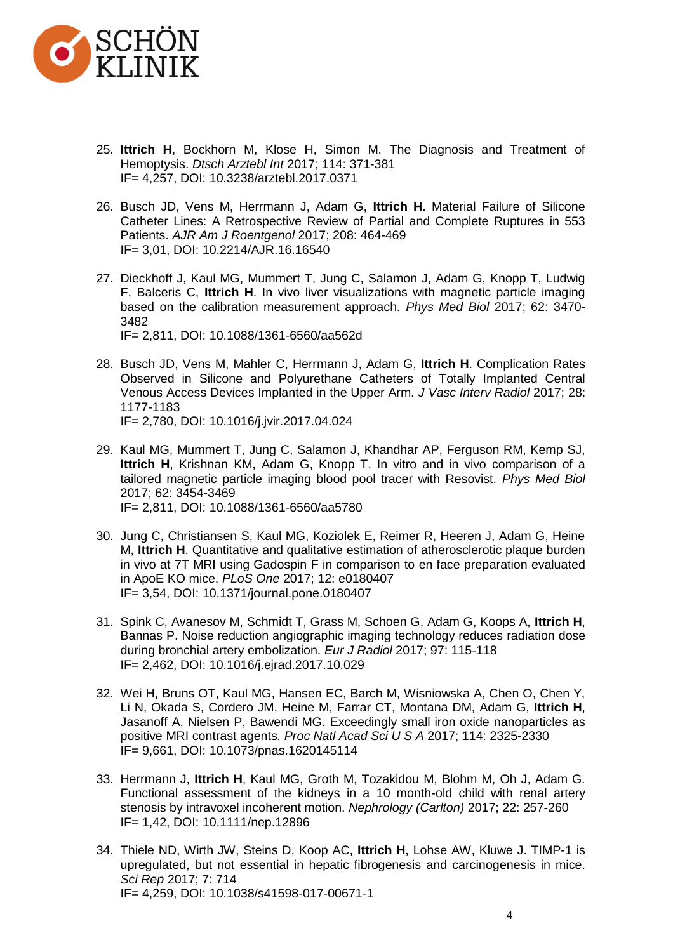

- 25. **Ittrich H**, Bockhorn M, Klose H, Simon M. The Diagnosis and Treatment of Hemoptysis. *Dtsch Arztebl Int* 2017; 114: 371-381 IF= 4,257, DOI: 10.3238/arztebl.2017.0371
- 26. Busch JD, Vens M, Herrmann J, Adam G, **Ittrich H**. Material Failure of Silicone Catheter Lines: A Retrospective Review of Partial and Complete Ruptures in 553 Patients. *AJR Am J Roentgenol* 2017; 208: 464-469 IF= 3,01, DOI: 10.2214/AJR.16.16540
- 27. Dieckhoff J, Kaul MG, Mummert T, Jung C, Salamon J, Adam G, Knopp T, Ludwig F, Balceris C, **Ittrich H**. In vivo liver visualizations with magnetic particle imaging based on the calibration measurement approach. *Phys Med Biol* 2017; 62: 3470- 3482 IF= 2,811, DOI: 10.1088/1361-6560/aa562d
- 28. Busch JD, Vens M, Mahler C, Herrmann J, Adam G, **Ittrich H**. Complication Rates Observed in Silicone and Polyurethane Catheters of Totally Implanted Central Venous Access Devices Implanted in the Upper Arm. *J Vasc Interv Radiol* 2017; 28: 1177-1183 IF= 2,780, DOI: 10.1016/j.jvir.2017.04.024
- 29. Kaul MG, Mummert T, Jung C, Salamon J, Khandhar AP, Ferguson RM, Kemp SJ, **Ittrich H**, Krishnan KM, Adam G, Knopp T. In vitro and in vivo comparison of a tailored magnetic particle imaging blood pool tracer with Resovist. *Phys Med Biol*  2017; 62: 3454-3469 IF= 2,811, DOI: 10.1088/1361-6560/aa5780
- 30. Jung C, Christiansen S, Kaul MG, Koziolek E, Reimer R, Heeren J, Adam G, Heine M, **Ittrich H**. Quantitative and qualitative estimation of atherosclerotic plaque burden in vivo at 7T MRI using Gadospin F in comparison to en face preparation evaluated in ApoE KO mice. *PLoS One* 2017; 12: e0180407 IF= 3,54, DOI: 10.1371/journal.pone.0180407
- 31. Spink C, Avanesov M, Schmidt T, Grass M, Schoen G, Adam G, Koops A, **Ittrich H**, Bannas P. Noise reduction angiographic imaging technology reduces radiation dose during bronchial artery embolization. *Eur J Radiol* 2017; 97: 115-118 IF= 2,462, DOI: 10.1016/j.ejrad.2017.10.029
- 32. Wei H, Bruns OT, Kaul MG, Hansen EC, Barch M, Wisniowska A, Chen O, Chen Y, Li N, Okada S, Cordero JM, Heine M, Farrar CT, Montana DM, Adam G, **Ittrich H**, Jasanoff A, Nielsen P, Bawendi MG. Exceedingly small iron oxide nanoparticles as positive MRI contrast agents*. Proc Natl Acad Sci U S A* 2017; 114: 2325-2330 IF= 9,661, DOI: 10.1073/pnas.1620145114
- 33. Herrmann J, **Ittrich H**, Kaul MG, Groth M, Tozakidou M, Blohm M, Oh J, Adam G. Functional assessment of the kidneys in a 10 month-old child with renal artery stenosis by intravoxel incoherent motion. *Nephrology (Carlton)* 2017; 22: 257-260 IF= 1,42, DOI: 10.1111/nep.12896
- 34. Thiele ND, Wirth JW, Steins D, Koop AC, **Ittrich H**, Lohse AW, Kluwe J. TIMP-1 is upregulated, but not essential in hepatic fibrogenesis and carcinogenesis in mice. *Sci Rep* 2017; 7: 714 IF= 4,259, DOI: 10.1038/s41598-017-00671-1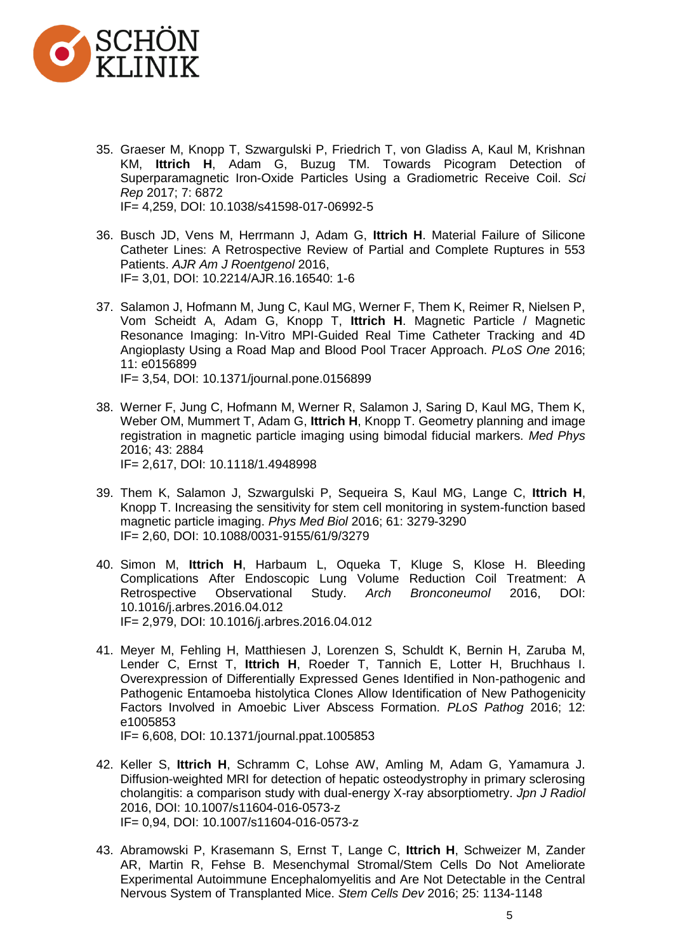

- 35. Graeser M, Knopp T, Szwargulski P, Friedrich T, von Gladiss A, Kaul M, Krishnan KM, **Ittrich H**, Adam G, Buzug TM. Towards Picogram Detection of Superparamagnetic Iron-Oxide Particles Using a Gradiometric Receive Coil. *Sci Rep* 2017; 7: 6872 IF= 4,259, DOI: 10.1038/s41598-017-06992-5
- 36. Busch JD, Vens M, Herrmann J, Adam G, **Ittrich H**. Material Failure of Silicone Catheter Lines: A Retrospective Review of Partial and Complete Ruptures in 553 Patients. *AJR Am J Roentgenol* 2016, IF= 3,01, DOI: 10.2214/AJR.16.16540: 1-6
- 37. Salamon J, Hofmann M, Jung C, Kaul MG, Werner F, Them K, Reimer R, Nielsen P, Vom Scheidt A, Adam G, Knopp T, **Ittrich H**. Magnetic Particle / Magnetic Resonance Imaging: In-Vitro MPI-Guided Real Time Catheter Tracking and 4D Angioplasty Using a Road Map and Blood Pool Tracer Approach. *PLoS One* 2016; 11: e0156899 IF= 3,54, DOI: 10.1371/journal.pone.0156899
- 38. Werner F, Jung C, Hofmann M, Werner R, Salamon J, Saring D, Kaul MG, Them K, Weber OM, Mummert T, Adam G, **Ittrich H**, Knopp T. Geometry planning and image registration in magnetic particle imaging using bimodal fiducial markers. *Med Phys* 2016; 43: 2884 IF= 2,617, DOI: 10.1118/1.4948998
- 39. Them K, Salamon J, Szwargulski P, Sequeira S, Kaul MG, Lange C, **Ittrich H**, Knopp T. Increasing the sensitivity for stem cell monitoring in system-function based magnetic particle imaging. *Phys Med Biol* 2016; 61: 3279-3290 IF= 2,60, DOI: 10.1088/0031-9155/61/9/3279
- 40. Simon M, **Ittrich H**, Harbaum L, Oqueka T, Kluge S, Klose H. Bleeding Complications After Endoscopic Lung Volume Reduction Coil Treatment: A Retrospective Observational Study. Arch Bronconeumol 2016, DOI: Retrospective Observational Study. *Arch Bronconeumol* 2016, DOI: 10.1016/j.arbres.2016.04.012 IF= 2,979, DOI: 10.1016/j.arbres.2016.04.012
- 41. Meyer M, Fehling H, Matthiesen J, Lorenzen S, Schuldt K, Bernin H, Zaruba M, Lender C, Ernst T, **Ittrich H**, Roeder T, Tannich E, Lotter H, Bruchhaus I. Overexpression of Differentially Expressed Genes Identified in Non-pathogenic and Pathogenic Entamoeba histolytica Clones Allow Identification of New Pathogenicity Factors Involved in Amoebic Liver Abscess Formation. *PLoS Pathog* 2016; 12: e1005853 IF= 6,608, DOI: 10.1371/journal.ppat.1005853
- 42. Keller S, **Ittrich H**, Schramm C, Lohse AW, Amling M, Adam G, Yamamura J. Diffusion-weighted MRI for detection of hepatic osteodystrophy in primary sclerosing cholangitis: a comparison study with dual-energy X-ray absorptiometry. *Jpn J Radiol* 2016, DOI: 10.1007/s11604-016-0573-z IF= 0,94, DOI: 10.1007/s11604-016-0573-z
- 43. Abramowski P, Krasemann S, Ernst T, Lange C, **Ittrich H**, Schweizer M, Zander AR, Martin R, Fehse B. Mesenchymal Stromal/Stem Cells Do Not Ameliorate Experimental Autoimmune Encephalomyelitis and Are Not Detectable in the Central Nervous System of Transplanted Mice. *Stem Cells Dev* 2016; 25: 1134-1148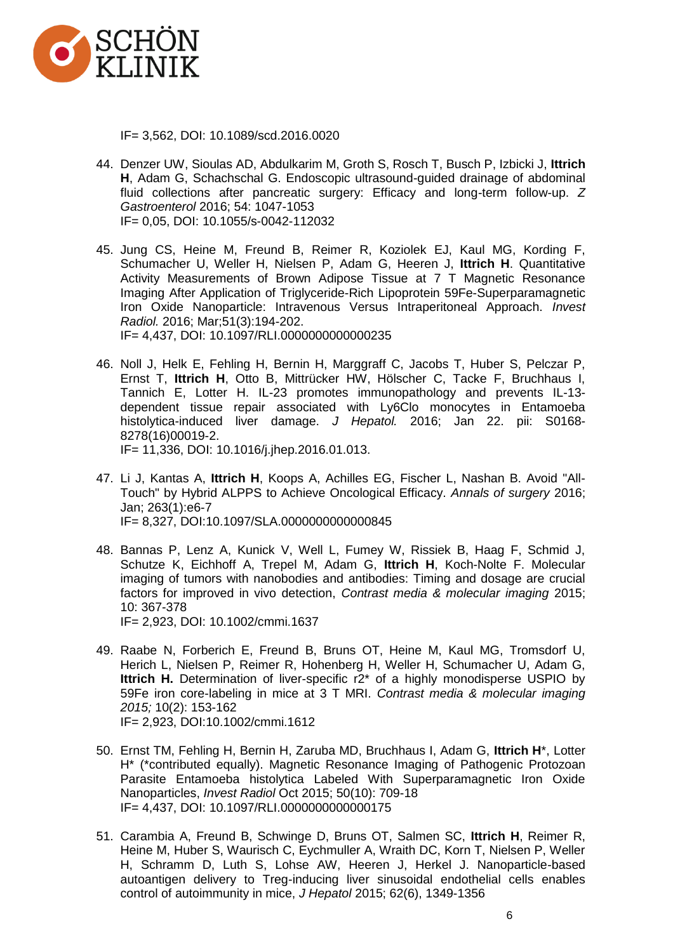

IF= 3,562, DOI: 10.1089/scd.2016.0020

- 44. Denzer UW, Sioulas AD, Abdulkarim M, Groth S, Rosch T, Busch P, Izbicki J, **Ittrich H**, Adam G, Schachschal G. Endoscopic ultrasound-guided drainage of abdominal fluid collections after pancreatic surgery: Efficacy and long-term follow-up. *Z Gastroenterol* 2016; 54: 1047-1053 IF= 0,05, DOI: 10.1055/s-0042-112032
- 45. Jung CS, Heine M, Freund B, Reimer R, Koziolek EJ, Kaul MG, Kording F, Schumacher U, Weller H, Nielsen P, Adam G, Heeren J, **Ittrich H**. Quantitative Activity Measurements of Brown Adipose Tissue at 7 T Magnetic Resonance Imaging After Application of Triglyceride-Rich Lipoprotein 59Fe-Superparamagnetic Iron Oxide Nanoparticle: Intravenous Versus Intraperitoneal Approach. *Invest Radiol.* 2016; Mar;51(3):194-202. IF= 4,437, DOI: 10.1097/RLI.0000000000000235
- 46. Noll J, Helk E, Fehling H, Bernin H, Marggraff C, Jacobs T, Huber S, Pelczar P, Ernst T, **Ittrich H**, Otto B, Mittrücker HW, Hölscher C, Tacke F, Bruchhaus I, Tannich E, Lotter H. IL-23 promotes immunopathology and prevents IL-13 dependent tissue repair associated with Ly6Clo monocytes in Entamoeba histolytica-induced liver damage. *J Hepatol.* 2016; Jan 22. pii: S0168- 8278(16)00019-2. IF= 11,336, DOI: 10.1016/j.jhep.2016.01.013.
- 47. Li J, Kantas A, **Ittrich H**, Koops A, Achilles EG, Fischer L, Nashan B. Avoid "All-Touch" by Hybrid ALPPS to Achieve Oncological Efficacy. *Annals of surgery* 2016; Jan; 263(1):e6-7 IF= 8,327, DOI:10.1097/SLA.0000000000000845
- 48. Bannas P, Lenz A, Kunick V, Well L, Fumey W, Rissiek B, Haag F, Schmid J, Schutze K, Eichhoff A, Trepel M, Adam G, **Ittrich H**, Koch-Nolte F. Molecular imaging of tumors with nanobodies and antibodies: Timing and dosage are crucial factors for improved in vivo detection, *Contrast media & molecular imaging* 2015; 10: 367-378 IF= 2,923, DOI: 10.1002/cmmi.1637
- 49. Raabe N, Forberich E, Freund B, Bruns OT, Heine M, Kaul MG, Tromsdorf U, Herich L, Nielsen P, Reimer R, Hohenberg H, Weller H, Schumacher U, Adam G, **Ittrich H.** Determination of liver-specific r2\* of a highly monodisperse USPIO by 59Fe iron core-labeling in mice at 3 T MRI. *Contrast media & molecular imaging 2015;* 10(2): 153-162 IF= 2,923, DOI:10.1002/cmmi.1612
- 50. Ernst TM, Fehling H, Bernin H, Zaruba MD, Bruchhaus I, Adam G, **Ittrich H**\*, Lotter H\* (\*contributed equally). Magnetic Resonance Imaging of Pathogenic Protozoan Parasite Entamoeba histolytica Labeled With Superparamagnetic Iron Oxide Nanoparticles, *Invest Radiol* Oct 2015; 50(10): 709-18 IF= 4,437, DOI: 10.1097/RLI.0000000000000175
- 51. Carambia A, Freund B, Schwinge D, Bruns OT, Salmen SC, **Ittrich H**, Reimer R, Heine M, Huber S, Waurisch C, Eychmuller A, Wraith DC, Korn T, Nielsen P, Weller H, Schramm D, Luth S, Lohse AW, Heeren J, Herkel J. Nanoparticle-based autoantigen delivery to Treg-inducing liver sinusoidal endothelial cells enables control of autoimmunity in mice, *J Hepatol* 2015; 62(6), 1349-1356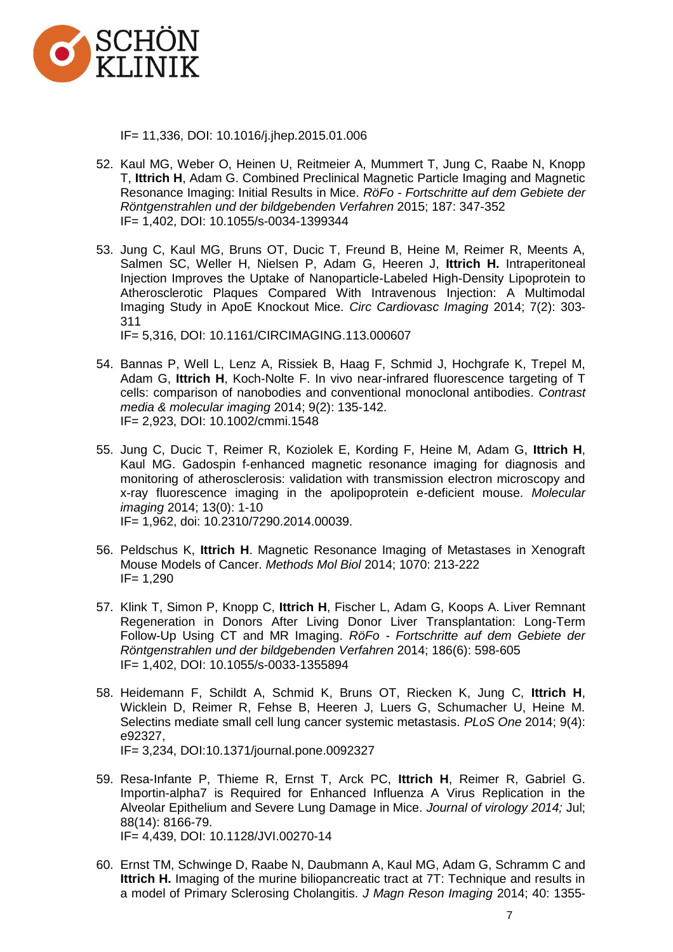

IF= 11,336, DOI: 10.1016/j.jhep.2015.01.006

- 52. Kaul MG, Weber O, Heinen U, Reitmeier A, Mummert T, Jung C, Raabe N, Knopp T, **Ittrich H**, Adam G. Combined Preclinical Magnetic Particle Imaging and Magnetic Resonance Imaging: Initial Results in Mice. *RöFo - Fortschritte auf dem Gebiete der Röntgenstrahlen und der bildgebenden Verfahren* 2015; 187: 347-352 IF= 1,402, DOI: 10.1055/s-0034-1399344
- 53. Jung C, Kaul MG, Bruns OT, Ducic T, Freund B, Heine M, Reimer R, Meents A, Salmen SC, Weller H, Nielsen P, Adam G, Heeren J, **Ittrich H.** Intraperitoneal Injection Improves the Uptake of Nanoparticle-Labeled High-Density Lipoprotein to Atherosclerotic Plaques Compared With Intravenous Injection: A Multimodal Imaging Study in ApoE Knockout Mice. *Circ Cardiovasc Imaging* 2014; 7(2): 303- 311

IF= 5,316, DOI: 10.1161/CIRCIMAGING.113.000607

- 54. Bannas P, Well L, Lenz A, Rissiek B, Haag F, Schmid J, Hochgrafe K, Trepel M, Adam G, **Ittrich H**, Koch-Nolte F. In vivo near-infrared fluorescence targeting of T cells: comparison of nanobodies and conventional monoclonal antibodies. *Contrast media & molecular imaging* 2014; 9(2): 135-142. IF= 2,923, DOI: 10.1002/cmmi.1548
- 55. Jung C, Ducic T, Reimer R, Koziolek E, Kording F, Heine M, Adam G, **Ittrich H**, Kaul MG. Gadospin f-enhanced magnetic resonance imaging for diagnosis and monitoring of atherosclerosis: validation with transmission electron microscopy and x-ray fluorescence imaging in the apolipoprotein e-deficient mouse. *Molecular imaging* 2014; 13(0): 1-10 IF= 1,962, doi: 10.2310/7290.2014.00039.
- 56. Peldschus K, **Ittrich H**. Magnetic Resonance Imaging of Metastases in Xenograft Mouse Models of Cancer. *Methods Mol Biol* 2014; 1070: 213-222 IF= 1,290
- 57. Klink T, Simon P, Knopp C, **Ittrich H**, Fischer L, Adam G, Koops A. Liver Remnant Regeneration in Donors After Living Donor Liver Transplantation: Long-Term Follow-Up Using CT and MR Imaging. *RöFo - Fortschritte auf dem Gebiete der Röntgenstrahlen und der bildgebenden Verfahren* 2014; 186(6): 598-605 IF= 1,402, DOI: 10.1055/s-0033-1355894
- 58. Heidemann F, Schildt A, Schmid K, Bruns OT, Riecken K, Jung C, **Ittrich H**, Wicklein D, Reimer R, Fehse B, Heeren J, Luers G, Schumacher U, Heine M. Selectins mediate small cell lung cancer systemic metastasis. *PLoS One* 2014; 9(4): e92327, IF= 3,234, DOI:10.1371/journal.pone.0092327
- 59. Resa-Infante P, Thieme R, Ernst T, Arck PC, **Ittrich H**, Reimer R, Gabriel G. Importin-alpha7 is Required for Enhanced Influenza A Virus Replication in the Alveolar Epithelium and Severe Lung Damage in Mice. *Journal of virology 2014;* Jul; 88(14): 8166-79. IF= 4,439, DOI: 10.1128/JVI.00270-14
- 60. Ernst TM, Schwinge D, Raabe N, Daubmann A, Kaul MG, Adam G, Schramm C and **Ittrich H.** Imaging of the murine biliopancreatic tract at 7T: Technique and results in a model of Primary Sclerosing Cholangitis. *J Magn Reson Imaging* 2014; 40: 1355-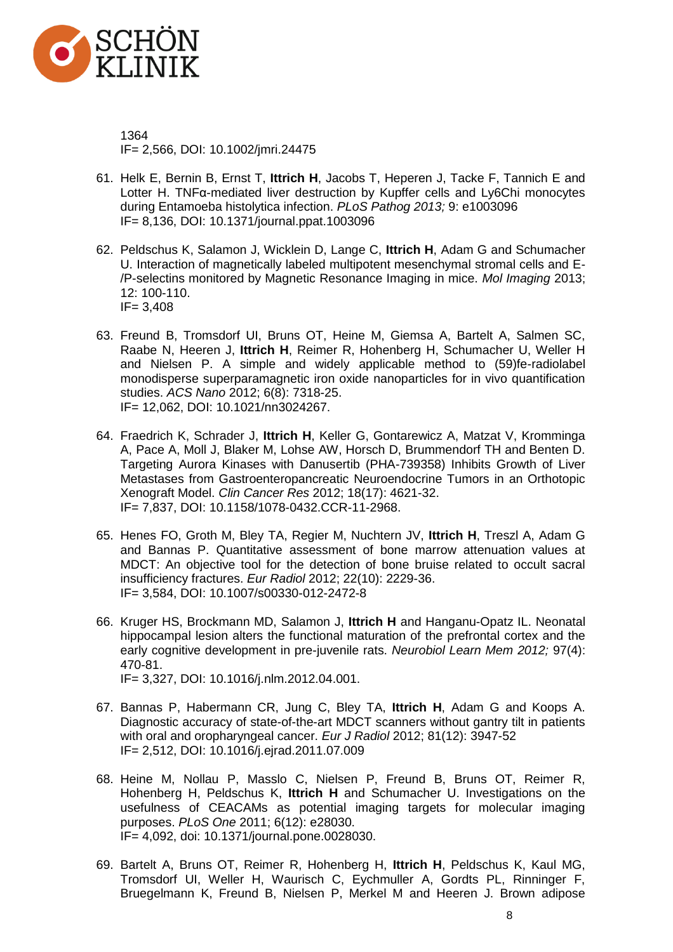

1364 IF= 2,566, DOI: 10.1002/jmri.24475

- 61. Helk E, Bernin B, Ernst T, **Ittrich H**, Jacobs T, Heperen J, Tacke F, Tannich E and Lotter H. TNFα-mediated liver destruction by Kupffer cells and Ly6Chi monocytes during Entamoeba histolytica infection. *PLoS Pathog 2013;* 9: e1003096 IF= 8,136, DOI: 10.1371/journal.ppat.1003096
- 62. Peldschus K, Salamon J, Wicklein D, Lange C, **Ittrich H**, Adam G and Schumacher U. Interaction of magnetically labeled multipotent mesenchymal stromal cells and E- /P-selectins monitored by Magnetic Resonance Imaging in mice. *Mol Imaging* 2013; 12: 100-110. IF= 3,408
- 63. Freund B, Tromsdorf UI, Bruns OT, Heine M, Giemsa A, Bartelt A, Salmen SC, Raabe N, Heeren J, **Ittrich H**, Reimer R, Hohenberg H, Schumacher U, Weller H and Nielsen P. A simple and widely applicable method to (59)fe-radiolabel monodisperse superparamagnetic iron oxide nanoparticles for in vivo quantification studies. *ACS Nano* 2012; 6(8): 7318-25. IF= 12,062, DOI: 10.1021/nn3024267.
- 64. Fraedrich K, Schrader J, **Ittrich H**, Keller G, Gontarewicz A, Matzat V, Kromminga A, Pace A, Moll J, Blaker M, Lohse AW, Horsch D, Brummendorf TH and Benten D. Targeting Aurora Kinases with Danusertib (PHA-739358) Inhibits Growth of Liver Metastases from Gastroenteropancreatic Neuroendocrine Tumors in an Orthotopic Xenograft Model. *Clin Cancer Res* 2012; 18(17): 4621-32. IF= 7,837, DOI: 10.1158/1078-0432.CCR-11-2968.
- 65. Henes FO, Groth M, Bley TA, Regier M, Nuchtern JV, **Ittrich H**, Treszl A, Adam G and Bannas P. Quantitative assessment of bone marrow attenuation values at MDCT: An objective tool for the detection of bone bruise related to occult sacral insufficiency fractures. *Eur Radiol* 2012; 22(10): 2229-36. IF= 3,584, DOI: 10.1007/s00330-012-2472-8
- 66. Kruger HS, Brockmann MD, Salamon J, **Ittrich H** and Hanganu-Opatz IL. Neonatal hippocampal lesion alters the functional maturation of the prefrontal cortex and the early cognitive development in pre-juvenile rats. *Neurobiol Learn Mem 2012;* 97(4): 470-81.

IF= 3,327, DOI: 10.1016/j.nlm.2012.04.001.

- 67. Bannas P, Habermann CR, Jung C, Bley TA, **Ittrich H**, Adam G and Koops A. Diagnostic accuracy of state-of-the-art MDCT scanners without gantry tilt in patients with oral and oropharyngeal cancer. *Eur J Radiol* 2012; 81(12): 3947-52 IF= 2,512, DOI: 10.1016/j.ejrad.2011.07.009
- 68. Heine M, Nollau P, Masslo C, Nielsen P, Freund B, Bruns OT, Reimer R, Hohenberg H, Peldschus K, **Ittrich H** and Schumacher U. Investigations on the usefulness of CEACAMs as potential imaging targets for molecular imaging purposes. *PLoS One* 2011; 6(12): e28030. IF= 4,092, doi: 10.1371/journal.pone.0028030.
- 69. Bartelt A, Bruns OT, Reimer R, Hohenberg H, **Ittrich H**, Peldschus K, Kaul MG, Tromsdorf UI, Weller H, Waurisch C, Eychmuller A, Gordts PL, Rinninger F, Bruegelmann K, Freund B, Nielsen P, Merkel M and Heeren J. Brown adipose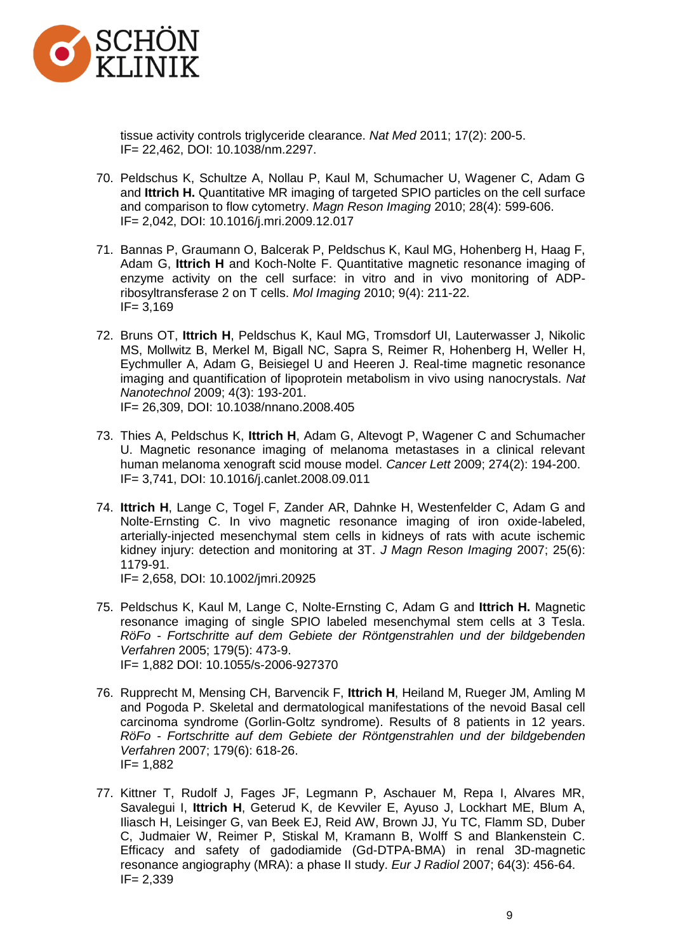

tissue activity controls triglyceride clearance. *Nat Med* 2011; 17(2): 200-5. IF= 22,462, DOI: 10.1038/nm.2297.

- 70. Peldschus K, Schultze A, Nollau P, Kaul M, Schumacher U, Wagener C, Adam G and **Ittrich H.** Quantitative MR imaging of targeted SPIO particles on the cell surface and comparison to flow cytometry. *Magn Reson Imaging* 2010; 28(4): 599-606. IF= 2,042, DOI: 10.1016/j.mri.2009.12.017
- 71. Bannas P, Graumann O, Balcerak P, Peldschus K, Kaul MG, Hohenberg H, Haag F, Adam G, **Ittrich H** and Koch-Nolte F. Quantitative magnetic resonance imaging of enzyme activity on the cell surface: in vitro and in vivo monitoring of ADPribosyltransferase 2 on T cells. *Mol Imaging* 2010; 9(4): 211-22.  $IF = 3,169$
- 72. Bruns OT, **Ittrich H**, Peldschus K, Kaul MG, Tromsdorf UI, Lauterwasser J, Nikolic MS, Mollwitz B, Merkel M, Bigall NC, Sapra S, Reimer R, Hohenberg H, Weller H, Eychmuller A, Adam G, Beisiegel U and Heeren J. Real-time magnetic resonance imaging and quantification of lipoprotein metabolism in vivo using nanocrystals. *Nat Nanotechnol* 2009; 4(3): 193-201. IF= 26,309, DOI: 10.1038/nnano.2008.405
- 73. Thies A, Peldschus K, **Ittrich H**, Adam G, Altevogt P, Wagener C and Schumacher U. Magnetic resonance imaging of melanoma metastases in a clinical relevant human melanoma xenograft scid mouse model. *Cancer Lett* 2009; 274(2): 194-200. IF= 3,741, DOI: 10.1016/j.canlet.2008.09.011
- 74. **Ittrich H**, Lange C, Togel F, Zander AR, Dahnke H, Westenfelder C, Adam G and Nolte-Ernsting C. In vivo magnetic resonance imaging of iron oxide-labeled, arterially-injected mesenchymal stem cells in kidneys of rats with acute ischemic kidney injury: detection and monitoring at 3T. *J Magn Reson Imaging* 2007; 25(6): 1179-91.

IF= 2,658, DOI: 10.1002/jmri.20925

- 75. Peldschus K, Kaul M, Lange C, Nolte-Ernsting C, Adam G and **Ittrich H.** Magnetic resonance imaging of single SPIO labeled mesenchymal stem cells at 3 Tesla. *RöFo - Fortschritte auf dem Gebiete der Röntgenstrahlen und der bildgebenden Verfahren* 2005; 179(5): 473-9. IF= 1,882 DOI: 10.1055/s-2006-927370
- 76. Rupprecht M, Mensing CH, Barvencik F, **Ittrich H**, Heiland M, Rueger JM, Amling M and Pogoda P. Skeletal and dermatological manifestations of the nevoid Basal cell carcinoma syndrome (Gorlin-Goltz syndrome). Results of 8 patients in 12 years. *RöFo - Fortschritte auf dem Gebiete der Röntgenstrahlen und der bildgebenden Verfahren* 2007; 179(6): 618-26. IF= 1,882
- 77. Kittner T, Rudolf J, Fages JF, Legmann P, Aschauer M, Repa I, Alvares MR, Savalegui I, **Ittrich H**, Geterud K, de Kevviler E, Ayuso J, Lockhart ME, Blum A, Iliasch H, Leisinger G, van Beek EJ, Reid AW, Brown JJ, Yu TC, Flamm SD, Duber C, Judmaier W, Reimer P, Stiskal M, Kramann B, Wolff S and Blankenstein C. Efficacy and safety of gadodiamide (Gd-DTPA-BMA) in renal 3D-magnetic resonance angiography (MRA): a phase II study. *Eur J Radiol* 2007; 64(3): 456-64. IF= 2,339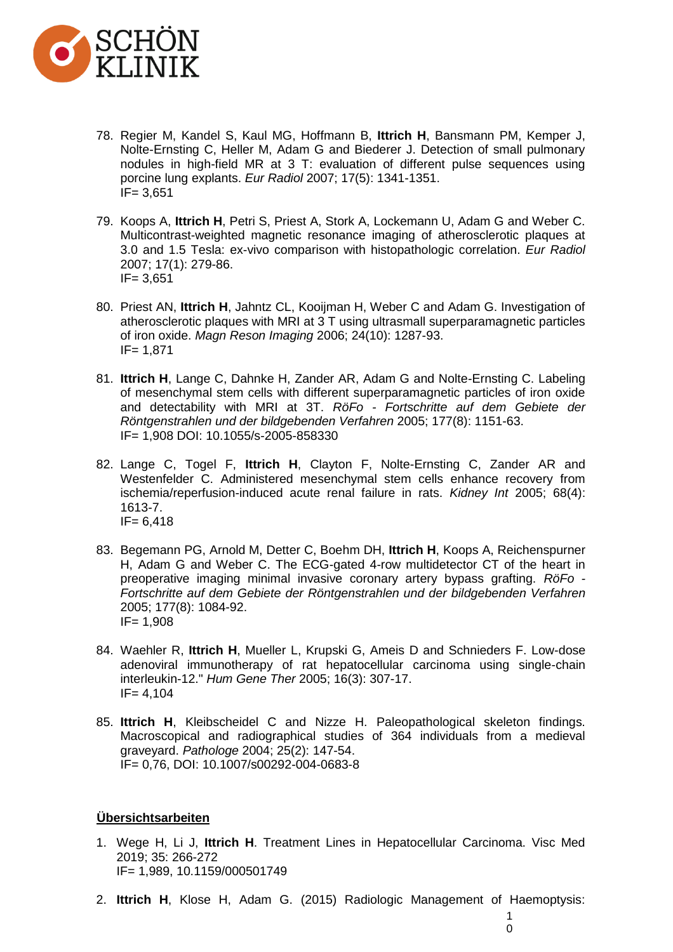

- 78. Regier M, Kandel S, Kaul MG, Hoffmann B, **Ittrich H**, Bansmann PM, Kemper J, Nolte-Ernsting C, Heller M, Adam G and Biederer J. Detection of small pulmonary nodules in high-field MR at 3 T: evaluation of different pulse sequences using porcine lung explants. *Eur Radiol* 2007; 17(5): 1341-1351.  $IF = 3,651$
- 79. Koops A, **Ittrich H**, Petri S, Priest A, Stork A, Lockemann U, Adam G and Weber C. Multicontrast-weighted magnetic resonance imaging of atherosclerotic plaques at 3.0 and 1.5 Tesla: ex-vivo comparison with histopathologic correlation. *Eur Radiol* 2007; 17(1): 279-86. IF= 3,651
- 80. Priest AN, **Ittrich H**, Jahntz CL, Kooijman H, Weber C and Adam G. Investigation of atherosclerotic plaques with MRI at 3 T using ultrasmall superparamagnetic particles of iron oxide. *Magn Reson Imaging* 2006; 24(10): 1287-93. IF= 1,871
- 81. **Ittrich H**, Lange C, Dahnke H, Zander AR, Adam G and Nolte-Ernsting C. Labeling of mesenchymal stem cells with different superparamagnetic particles of iron oxide and detectability with MRI at 3T. *RöFo - Fortschritte auf dem Gebiete der Röntgenstrahlen und der bildgebenden Verfahren* 2005; 177(8): 1151-63. IF= 1,908 DOI: 10.1055/s-2005-858330
- 82. Lange C, Togel F, **Ittrich H**, Clayton F, Nolte-Ernsting C, Zander AR and Westenfelder C. Administered mesenchymal stem cells enhance recovery from ischemia/reperfusion-induced acute renal failure in rats. *Kidney Int* 2005; 68(4): 1613-7.  $IF = 6,418$
- 83. Begemann PG, Arnold M, Detter C, Boehm DH, **Ittrich H**, Koops A, Reichenspurner H, Adam G and Weber C. The ECG-gated 4-row multidetector CT of the heart in preoperative imaging minimal invasive coronary artery bypass grafting. *RöFo - Fortschritte auf dem Gebiete der Röntgenstrahlen und der bildgebenden Verfahren* 2005; 177(8): 1084-92. IF= 1,908
- 84. Waehler R, **Ittrich H**, Mueller L, Krupski G, Ameis D and Schnieders F. Low-dose adenoviral immunotherapy of rat hepatocellular carcinoma using single-chain interleukin-12." *Hum Gene Ther* 2005; 16(3): 307-17.  $IF = 4.104$
- 85. **Ittrich H**, Kleibscheidel C and Nizze H. Paleopathological skeleton findings. Macroscopical and radiographical studies of 364 individuals from a medieval graveyard. *Pathologe* 2004; 25(2): 147-54. IF= 0,76, DOI: 10.1007/s00292-004-0683-8

## <sup>7</sup>**Übersichtsarbeiten**

- 1. Wege H, Li J, **Ittrich H**. Treatment Lines in Hepatocellular Carcinoma. Visc Med 2019; 35: 266-272 IF= 1,989, 10.1159/000501749
- 2. **Ittrich H**, Klose H, Adam G. (2015) Radiologic Management of Haemoptysis: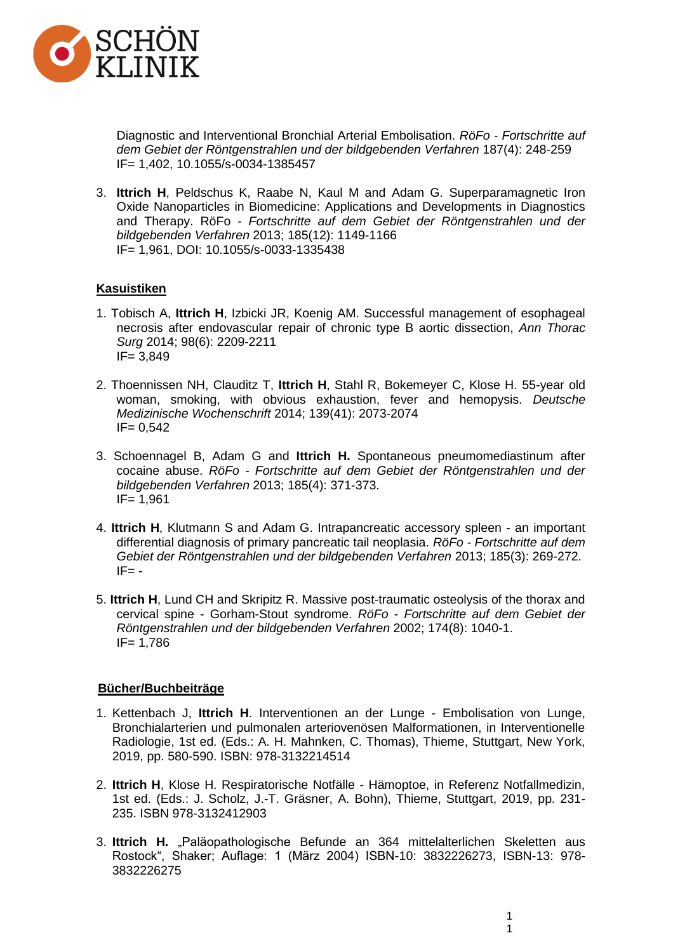

Diagnostic and Interventional Bronchial Arterial Embolisation. *RöFo - Fortschritte auf dem Gebiet der Röntgenstrahlen und der bildgebenden Verfahren* 187(4): 248-259 IF= 1,402, 10.1055/s-0034-1385457

3. **Ittrich H**, Peldschus K, Raabe N, Kaul M and Adam G. Superparamagnetic Iron Oxide Nanoparticles in Biomedicine: Applications and Developments in Diagnostics and Therapy. RöFo - *Fortschritte auf dem Gebiet der Röntgenstrahlen und der bildgebenden Verfahren* 2013; 185(12): 1149-1166 IF= 1,961, DOI: 10.1055/s-0033-1335438

#### **Kasuistiken**

- 1. Tobisch A, **Ittrich H**, Izbicki JR, Koenig AM. Successful management of esophageal necrosis after endovascular repair of chronic type B aortic dissection, *Ann Thorac Surg* 2014; 98(6): 2209-2211 IF= 3,849
- 2. Thoennissen NH, Clauditz T, **Ittrich H**, Stahl R, Bokemeyer C, Klose H. 55-year old woman, smoking, with obvious exhaustion, fever and hemopysis. *Deutsche Medizinische Wochenschrift* 2014; 139(41): 2073-2074  $IF = 0.542$
- 3. Schoennagel B, Adam G and **Ittrich H.** Spontaneous pneumomediastinum after cocaine abuse. *RöFo - Fortschritte auf dem Gebiet der Röntgenstrahlen und der bildgebenden Verfahren* 2013; 185(4): 371-373. IF= 1,961
- 4. **Ittrich H**, Klutmann S and Adam G. Intrapancreatic accessory spleen an important differential diagnosis of primary pancreatic tail neoplasia. *RöFo - Fortschritte auf dem Gebiet der Röntgenstrahlen und der bildgebenden Verfahren* 2013; 185(3): 269-272.  $IF = -$
- 5. **Ittrich H**, Lund CH and Skripitz R. Massive post-traumatic osteolysis of the thorax and cervical spine - Gorham-Stout syndrome. *RöFo - Fortschritte auf dem Gebiet der Röntgenstrahlen und der bildgebenden Verfahren* 2002; 174(8): 1040-1. IF= 1,786

#### 77B**Bücher/Buchbeiträge**

- 1. Kettenbach J, **Ittrich H**. Interventionen an der Lunge Embolisation von Lunge, Bronchialarterien und pulmonalen arteriovenösen Malformationen, in Interventionelle Radiologie, 1st ed. (Eds.: A. H. Mahnken, C. Thomas), Thieme, Stuttgart, New York, 2019, pp. 580-590. ISBN: 978-3132214514
- 2. **Ittrich H**, Klose H. Respiratorische Notfälle Hämoptoe, in Referenz Notfallmedizin, 1st ed. (Eds.: J. Scholz, J.-T. Gräsner, A. Bohn), Thieme, Stuttgart, 2019, pp. 231- 235. ISBN 978-3132412903
- 3. **Ittrich H.** "Paläopathologische Befunde an 364 mittelalterlichen Skeletten aus Rostock", Shaker; Auflage: 1 (März 2004) ISBN-10: 3832226273, ISBN-13: 978- 3832226275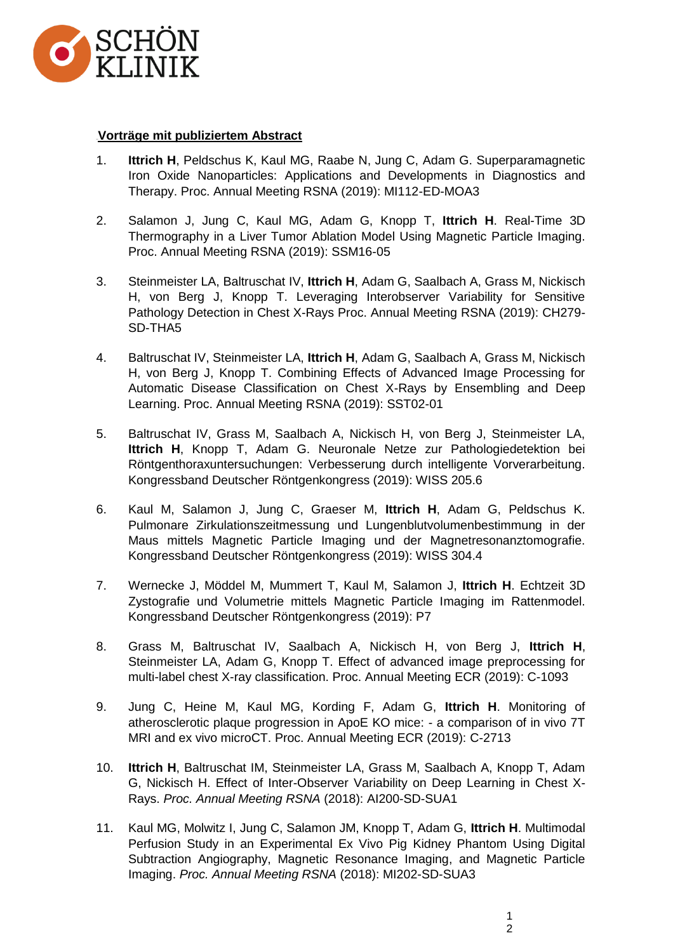

### 29B**Vorträge mit publiziertem Abstract**

- 1. **Ittrich H**, Peldschus K, Kaul MG, Raabe N, Jung C, Adam G. Superparamagnetic Iron Oxide Nanoparticles: Applications and Developments in Diagnostics and Therapy. Proc. Annual Meeting RSNA (2019): MI112-ED-MOA3
- 2. Salamon J, Jung C, Kaul MG, Adam G, Knopp T, **Ittrich H**. Real-Time 3D Thermography in a Liver Tumor Ablation Model Using Magnetic Particle Imaging. Proc. Annual Meeting RSNA (2019): SSM16-05
- 3. Steinmeister LA, Baltruschat IV, **Ittrich H**, Adam G, Saalbach A, Grass M, Nickisch H, von Berg J, Knopp T. Leveraging Interobserver Variability for Sensitive Pathology Detection in Chest X-Rays Proc. Annual Meeting RSNA (2019): CH279- SD-THA5
- 4. Baltruschat IV, Steinmeister LA, **Ittrich H**, Adam G, Saalbach A, Grass M, Nickisch H, von Berg J, Knopp T. Combining Effects of Advanced Image Processing for Automatic Disease Classification on Chest X-Rays by Ensembling and Deep Learning. Proc. Annual Meeting RSNA (2019): SST02-01
- 5. Baltruschat IV, Grass M, Saalbach A, Nickisch H, von Berg J, Steinmeister LA, **Ittrich H**, Knopp T, Adam G. Neuronale Netze zur Pathologiedetektion bei Röntgenthoraxuntersuchungen: Verbesserung durch intelligente Vorverarbeitung. Kongressband Deutscher Röntgenkongress (2019): WISS 205.6
- 6. Kaul M, Salamon J, Jung C, Graeser M, **Ittrich H**, Adam G, Peldschus K. Pulmonare Zirkulationszeitmessung und Lungenblutvolumenbestimmung in der Maus mittels Magnetic Particle Imaging und der Magnetresonanztomografie. Kongressband Deutscher Röntgenkongress (2019): WISS 304.4
- 7. Wernecke J, Möddel M, Mummert T, Kaul M, Salamon J, **Ittrich H**. Echtzeit 3D Zystografie und Volumetrie mittels Magnetic Particle Imaging im Rattenmodel. Kongressband Deutscher Röntgenkongress (2019): P7
- 8. Grass M, Baltruschat IV, Saalbach A, Nickisch H, von Berg J, **Ittrich H**, Steinmeister LA, Adam G, Knopp T. Effect of advanced image preprocessing for multi-label chest X-ray classification. Proc. Annual Meeting ECR (2019): C-1093
- 9. Jung C, Heine M, Kaul MG, Kording F, Adam G, **Ittrich H**. Monitoring of atherosclerotic plaque progression in ApoE KO mice: - a comparison of in vivo 7T MRI and ex vivo microCT. Proc. Annual Meeting ECR (2019): C-2713
- 10. **Ittrich H**, Baltruschat IM, Steinmeister LA, Grass M, Saalbach A, Knopp T, Adam G, Nickisch H. Effect of Inter-Observer Variability on Deep Learning in Chest X-Rays. *Proc. Annual Meeting RSNA* (2018): AI200-SD-SUA1
- 11. Kaul MG, Molwitz I, Jung C, Salamon JM, Knopp T, Adam G, **Ittrich H**. Multimodal Perfusion Study in an Experimental Ex Vivo Pig Kidney Phantom Using Digital Subtraction Angiography, Magnetic Resonance Imaging, and Magnetic Particle Imaging. *Proc. Annual Meeting RSNA* (2018): MI202-SD-SUA3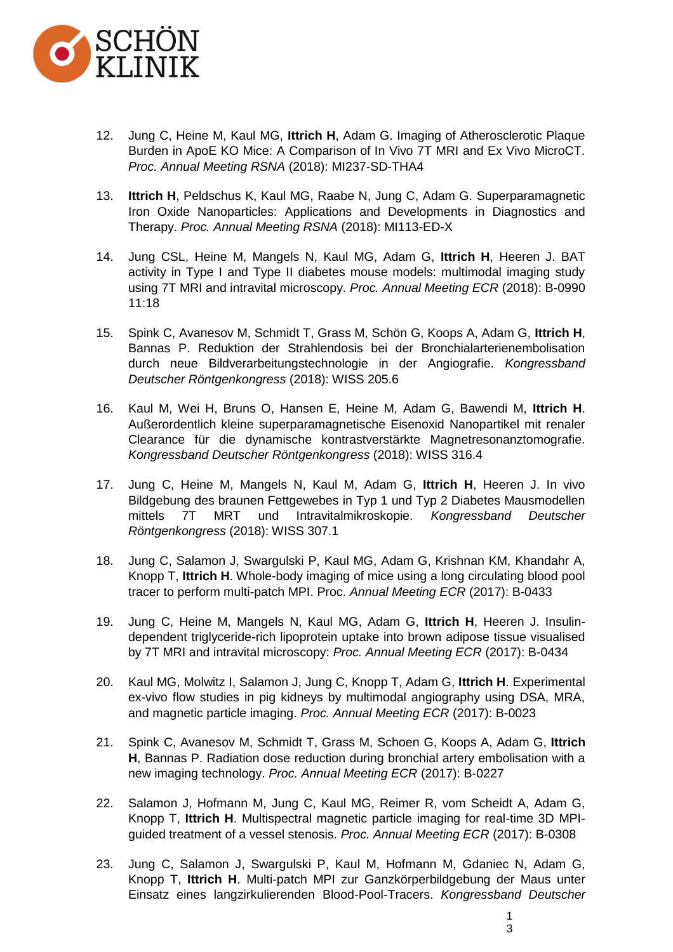

- 12. Jung C, Heine M, Kaul MG, **Ittrich H**, Adam G. Imaging of Atherosclerotic Plaque Burden in ApoE KO Mice: A Comparison of In Vivo 7T MRI and Ex Vivo MicroCT. *Proc. Annual Meeting RSNA* (2018): MI237-SD-THA4
- 13. **Ittrich H**, Peldschus K, Kaul MG, Raabe N, Jung C, Adam G. Superparamagnetic Iron Oxide Nanoparticles: Applications and Developments in Diagnostics and Therapy. *Proc. Annual Meeting RSNA* (2018): MI113-ED-X
- 14. Jung CSL, Heine M, Mangels N, Kaul MG, Adam G, **Ittrich H**, Heeren J. BAT activity in Type I and Type II diabetes mouse models: multimodal imaging study using 7T MRI and intravital microscopy. *Proc. Annual Meeting ECR* (2018): B-0990 11:18
- 15. Spink C, Avanesov M, Schmidt T, Grass M, Schön G, Koops A, Adam G, **Ittrich H**, Bannas P. Reduktion der Strahlendosis bei der Bronchialarterienembolisation durch neue Bildverarbeitungstechnologie in der Angiografie. *Kongressband Deutscher Röntgenkongress* (2018): WISS 205.6
- 16. Kaul M, Wei H, Bruns O, Hansen E, Heine M, Adam G, Bawendi M, **Ittrich H**. Außerordentlich kleine superparamagnetische Eisenoxid Nanopartikel mit renaler Clearance für die dynamische kontrastverstärkte Magnetresonanztomografie. *Kongressband Deutscher Röntgenkongress* (2018): WISS 316.4
- 17. Jung C, Heine M, Mangels N, Kaul M, Adam G, **Ittrich H**, Heeren J. In vivo Bildgebung des braunen Fettgewebes in Typ 1 und Typ 2 Diabetes Mausmodellen mittels 7T MRT und Intravitalmikroskopie. *Kongressband Deutscher Röntgenkongress* (2018): WISS 307.1
- 18. Jung C, Salamon J, Swargulski P, Kaul MG, Adam G, Krishnan KM, Khandahr A, Knopp T, **Ittrich H**. Whole-body imaging of mice using a long circulating blood pool tracer to perform multi-patch MPI. Proc. *Annual Meeting ECR* (2017): B-0433
- 19. Jung C, Heine M, Mangels N, Kaul MG, Adam G, **Ittrich H**, Heeren J. Insulindependent triglyceride-rich lipoprotein uptake into brown adipose tissue visualised by 7T MRI and intravital microscopy: *Proc. Annual Meeting ECR* (2017): B-0434
- 20. Kaul MG, Molwitz I, Salamon J, Jung C, Knopp T, Adam G, **Ittrich H**. Experimental ex-vivo flow studies in pig kidneys by multimodal angiography using DSA, MRA, and magnetic particle imaging. *Proc. Annual Meeting ECR* (2017): B-0023
- 21. Spink C, Avanesov M, Schmidt T, Grass M, Schoen G, Koops A, Adam G, **Ittrich H**, Bannas P. Radiation dose reduction during bronchial artery embolisation with a new imaging technology. *Proc. Annual Meeting ECR* (2017): B-0227
- 22. Salamon J, Hofmann M, Jung C, Kaul MG, Reimer R, vom Scheidt A, Adam G, Knopp T, **Ittrich H**. Multispectral magnetic particle imaging for real-time 3D MPIguided treatment of a vessel stenosis. *Proc. Annual Meeting ECR* (2017): B-0308
- 23. Jung C, Salamon J, Swargulski P, Kaul M, Hofmann M, Gdaniec N, Adam G, Knopp T, **Ittrich H**. Multi-patch MPI zur Ganzkörperbildgebung der Maus unter Einsatz eines langzirkulierenden Blood-Pool-Tracers. *Kongressband Deutscher*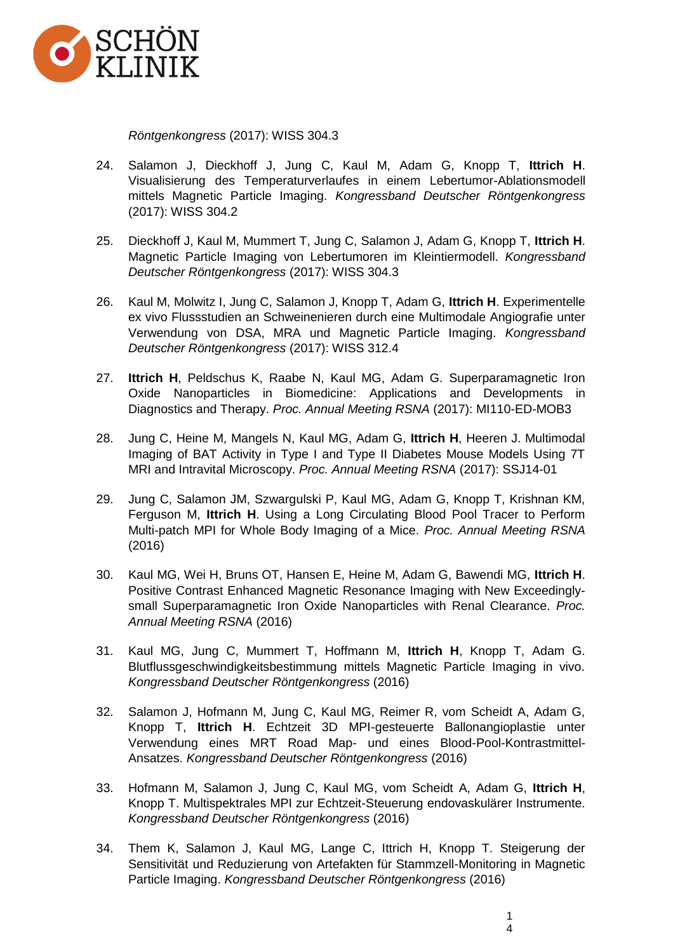

*Röntgenkongress* (2017): WISS 304.3

- 24. Salamon J, Dieckhoff J, Jung C, Kaul M, Adam G, Knopp T, **Ittrich H**. Visualisierung des Temperaturverlaufes in einem Lebertumor-Ablationsmodell mittels Magnetic Particle Imaging. *Kongressband Deutscher Röntgenkongress* (2017): WISS 304.2
- 25. Dieckhoff J, Kaul M, Mummert T, Jung C, Salamon J, Adam G, Knopp T, **Ittrich H**. Magnetic Particle Imaging von Lebertumoren im Kleintiermodell. *Kongressband Deutscher Röntgenkongress* (2017): WISS 304.3
- 26. Kaul M, Molwitz I, Jung C, Salamon J, Knopp T, Adam G, **Ittrich H**. Experimentelle ex vivo Flussstudien an Schweinenieren durch eine Multimodale Angiografie unter Verwendung von DSA, MRA und Magnetic Particle Imaging. *Kongressband Deutscher Röntgenkongress* (2017): WISS 312.4
- 27. **Ittrich H**, Peldschus K, Raabe N, Kaul MG, Adam G. Superparamagnetic Iron Oxide Nanoparticles in Biomedicine: Applications and Developments in Diagnostics and Therapy. *Proc. Annual Meeting RSNA* (2017): MI110-ED-MOB3
- 28. Jung C, Heine M, Mangels N, Kaul MG, Adam G, **Ittrich H**, Heeren J. Multimodal Imaging of BAT Activity in Type I and Type II Diabetes Mouse Models Using 7T MRI and Intravital Microscopy. *Proc. Annual Meeting RSNA* (2017): SSJ14-01
- 29. Jung C, Salamon JM, Szwargulski P, Kaul MG, Adam G, Knopp T, Krishnan KM, Ferguson M, **Ittrich H**. Using a Long Circulating Blood Pool Tracer to Perform Multi-patch MPI for Whole Body Imaging of a Mice. *Proc. Annual Meeting RSNA* (2016)
- 30. Kaul MG, Wei H, Bruns OT, Hansen E, Heine M, Adam G, Bawendi MG, **Ittrich H**. Positive Contrast Enhanced Magnetic Resonance Imaging with New Exceedinglysmall Superparamagnetic Iron Oxide Nanoparticles with Renal Clearance. *Proc. Annual Meeting RSNA* (2016)
- 31. Kaul MG, Jung C, Mummert T, Hoffmann M, **Ittrich H**, Knopp T, Adam G. Blutflussgeschwindigkeitsbestimmung mittels Magnetic Particle Imaging in vivo. *Kongressband Deutscher Röntgenkongress* (2016)
- 32. Salamon J, Hofmann M, Jung C, Kaul MG, Reimer R, vom Scheidt A, Adam G, Knopp T, **Ittrich H**. Echtzeit 3D MPI-gesteuerte Ballonangioplastie unter Verwendung eines MRT Road Map- und eines Blood-Pool-Kontrastmittel-Ansatzes. *Kongressband Deutscher Röntgenkongress* (2016)
- 33. Hofmann M, Salamon J, Jung C, Kaul MG, vom Scheidt A, Adam G, **Ittrich H**, Knopp T. Multispektrales MPI zur Echtzeit-Steuerung endovaskulärer Instrumente. *Kongressband Deutscher Röntgenkongress* (2016)
- 34. Them K, Salamon J, Kaul MG, Lange C, Ittrich H, Knopp T. Steigerung der Sensitivität und Reduzierung von Artefakten für Stammzell-Monitoring in Magnetic Particle Imaging. *Kongressband Deutscher Röntgenkongress* (2016)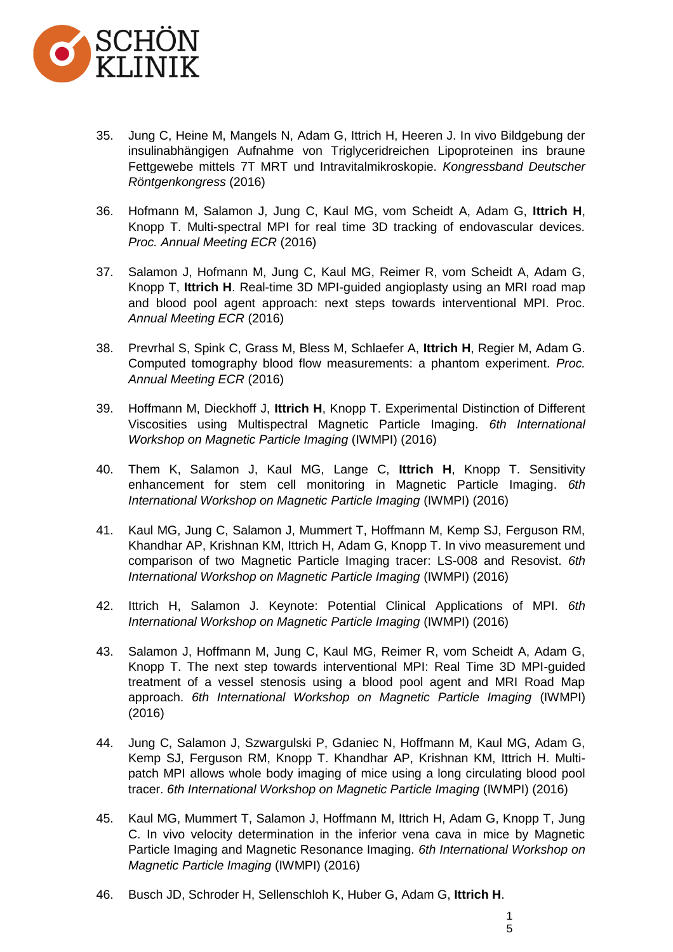

- 35. Jung C, Heine M, Mangels N, Adam G, Ittrich H, Heeren J. In vivo Bildgebung der insulinabhängigen Aufnahme von Triglyceridreichen Lipoproteinen ins braune Fettgewebe mittels 7T MRT und Intravitalmikroskopie. *Kongressband Deutscher Röntgenkongress* (2016)
- 36. Hofmann M, Salamon J, Jung C, Kaul MG, vom Scheidt A, Adam G, **Ittrich H**, Knopp T. Multi-spectral MPI for real time 3D tracking of endovascular devices. *Proc. Annual Meeting ECR* (2016)
- 37. Salamon J, Hofmann M, Jung C, Kaul MG, Reimer R, vom Scheidt A, Adam G, Knopp T, **Ittrich H**. Real-time 3D MPI-guided angioplasty using an MRI road map and blood pool agent approach: next steps towards interventional MPI. Proc. *Annual Meeting ECR* (2016)
- 38. Prevrhal S, Spink C, Grass M, Bless M, Schlaefer A, **Ittrich H**, Regier M, Adam G. Computed tomography blood flow measurements: a phantom experiment. *Proc. Annual Meeting ECR* (2016)
- 39. Hoffmann M, Dieckhoff J, **Ittrich H**, Knopp T. Experimental Distinction of Different Viscosities using Multispectral Magnetic Particle Imaging. *6th International Workshop on Magnetic Particle Imaging* (IWMPI) (2016)
- 40. Them K, Salamon J, Kaul MG, Lange C, **Ittrich H**, Knopp T. Sensitivity enhancement for stem cell monitoring in Magnetic Particle Imaging. *6th International Workshop on Magnetic Particle Imaging* (IWMPI) (2016)
- 41. Kaul MG, Jung C, Salamon J, Mummert T, Hoffmann M, Kemp SJ, Ferguson RM, Khandhar AP, Krishnan KM, Ittrich H, Adam G, Knopp T. In vivo measurement und comparison of two Magnetic Particle Imaging tracer: LS-008 and Resovist. *6th International Workshop on Magnetic Particle Imaging* (IWMPI) (2016)
- 42. Ittrich H, Salamon J. Keynote: Potential Clinical Applications of MPI. *6th International Workshop on Magnetic Particle Imaging* (IWMPI) (2016)
- 43. Salamon J, Hoffmann M, Jung C, Kaul MG, Reimer R, vom Scheidt A, Adam G, Knopp T. The next step towards interventional MPI: Real Time 3D MPI-guided treatment of a vessel stenosis using a blood pool agent and MRI Road Map approach. *6th International Workshop on Magnetic Particle Imaging* (IWMPI) (2016)
- 44. Jung C, Salamon J, Szwargulski P, Gdaniec N, Hoffmann M, Kaul MG, Adam G, Kemp SJ, Ferguson RM, Knopp T. Khandhar AP, Krishnan KM, Ittrich H. Multipatch MPI allows whole body imaging of mice using a long circulating blood pool tracer. *6th International Workshop on Magnetic Particle Imaging* (IWMPI) (2016)
- 45. Kaul MG, Mummert T, Salamon J, Hoffmann M, Ittrich H, Adam G, Knopp T, Jung C. In vivo velocity determination in the inferior vena cava in mice by Magnetic Particle Imaging and Magnetic Resonance Imaging. *6th International Workshop on Magnetic Particle Imaging* (IWMPI) (2016)
- 46. Busch JD, Schroder H, Sellenschloh K, Huber G, Adam G, **Ittrich H**.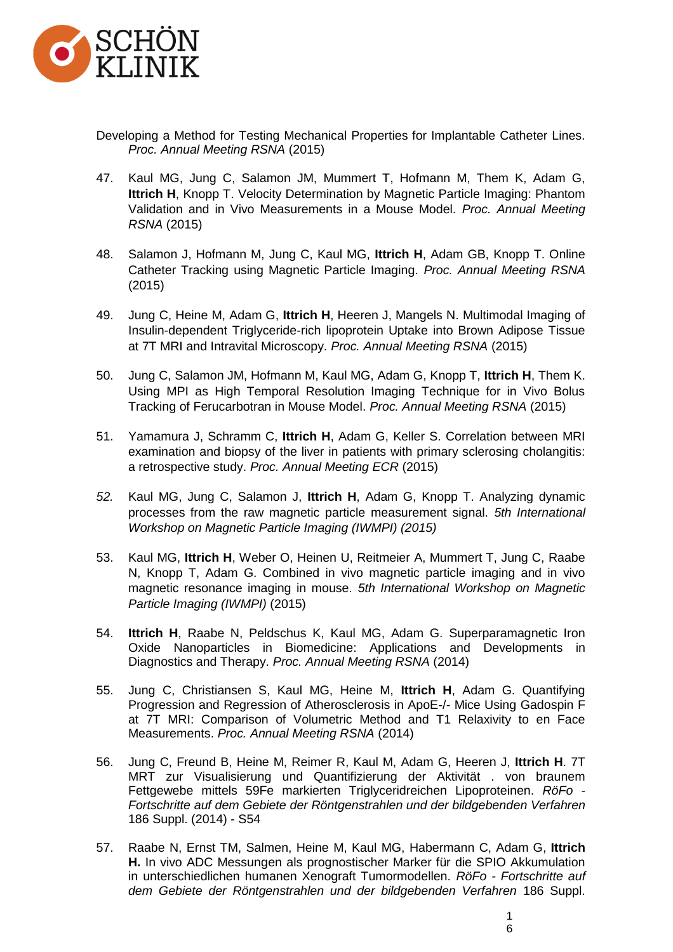

- Developing a Method for Testing Mechanical Properties for Implantable Catheter Lines. *Proc. Annual Meeting RSNA* (2015)
- 47. Kaul MG, Jung C, Salamon JM, Mummert T, Hofmann M, Them K, Adam G, **Ittrich H**, Knopp T. Velocity Determination by Magnetic Particle Imaging: Phantom Validation and in Vivo Measurements in a Mouse Model. *Proc. Annual Meeting RSNA* (2015)
- 48. Salamon J, Hofmann M, Jung C, Kaul MG, **Ittrich H**, Adam GB, Knopp T. Online Catheter Tracking using Magnetic Particle Imaging. *Proc. Annual Meeting RSNA* (2015)
- 49. Jung C, Heine M, Adam G, **Ittrich H**, Heeren J, Mangels N. Multimodal Imaging of Insulin-dependent Triglyceride-rich lipoprotein Uptake into Brown Adipose Tissue at 7T MRI and Intravital Microscopy. *Proc. Annual Meeting RSNA* (2015)
- 50. Jung C, Salamon JM, Hofmann M, Kaul MG, Adam G, Knopp T, **Ittrich H**, Them K. Using MPI as High Temporal Resolution Imaging Technique for in Vivo Bolus Tracking of Ferucarbotran in Mouse Model. *Proc. Annual Meeting RSNA* (2015)
- 51. Yamamura J, Schramm C, **Ittrich H**, Adam G, Keller S. Correlation between MRI examination and biopsy of the liver in patients with primary sclerosing cholangitis: a retrospective study. *Proc. Annual Meeting ECR* (2015)
- *52.* Kaul MG, Jung C, Salamon J, **Ittrich H**, Adam G, Knopp T. Analyzing dynamic processes from the raw magnetic particle measurement signal. *5th International Workshop on Magnetic Particle Imaging (IWMPI) (2015)*
- 53. Kaul MG, **Ittrich H**, Weber O, Heinen U, Reitmeier A, Mummert T, Jung C, Raabe N, Knopp T, Adam G. Combined in vivo magnetic particle imaging and in vivo magnetic resonance imaging in mouse. *5th International Workshop on Magnetic Particle Imaging (IWMPI)* (2015)
- 54. **Ittrich H**, Raabe N, Peldschus K, Kaul MG, Adam G. Superparamagnetic Iron Oxide Nanoparticles in Biomedicine: Applications and Developments in Diagnostics and Therapy. *Proc. Annual Meeting RSNA* (2014)
- 55. Jung C, Christiansen S, Kaul MG, Heine M, **Ittrich H**, Adam G. Quantifying Progression and Regression of Atherosclerosis in ApoE-/- Mice Using Gadospin F at 7T MRI: Comparison of Volumetric Method and T1 Relaxivity to en Face Measurements. *Proc. Annual Meeting RSNA* (2014)
- 56. Jung C, Freund B, Heine M, Reimer R, Kaul M, Adam G, Heeren J, **Ittrich H**. 7T MRT zur Visualisierung und Quantifizierung der Aktivität . von braunem Fettgewebe mittels 59Fe markierten Triglyceridreichen Lipoproteinen. *RöFo - Fortschritte auf dem Gebiete der Röntgenstrahlen und der bildgebenden Verfahren* 186 Suppl. (2014) - S54
- 57. Raabe N, Ernst TM, Salmen, Heine [M,](https://www.thieme-connect.com/products/ejournals/abstract/10.1055/s-0034-1373568#AFWI_PO7_3) Kaul [MG,](https://www.thieme-connect.com/products/ejournals/abstract/10.1055/s-0034-1373568#AFWI_PO7_1) Habermann [C,](https://www.thieme-connect.com/products/ejournals/abstract/10.1055/s-0034-1373568#AFWI_PO7_1) Adam [G,](https://www.thieme-connect.com/products/ejournals/abstract/10.1055/s-0034-1373568#AFWI_PO7_1) **Ittrich [H.](https://www.thieme-connect.com/products/ejournals/abstract/10.1055/s-0034-1373568#AFWI_PO7_1)** In vivo ADC Messungen als prognostischer Marker für die SPIO Akkumulation in unterschiedlichen humanen Xenograft Tumormodellen. *RöFo - Fortschritte auf dem Gebiete der Röntgenstrahlen und der bildgebenden Verfahren* 186 Suppl.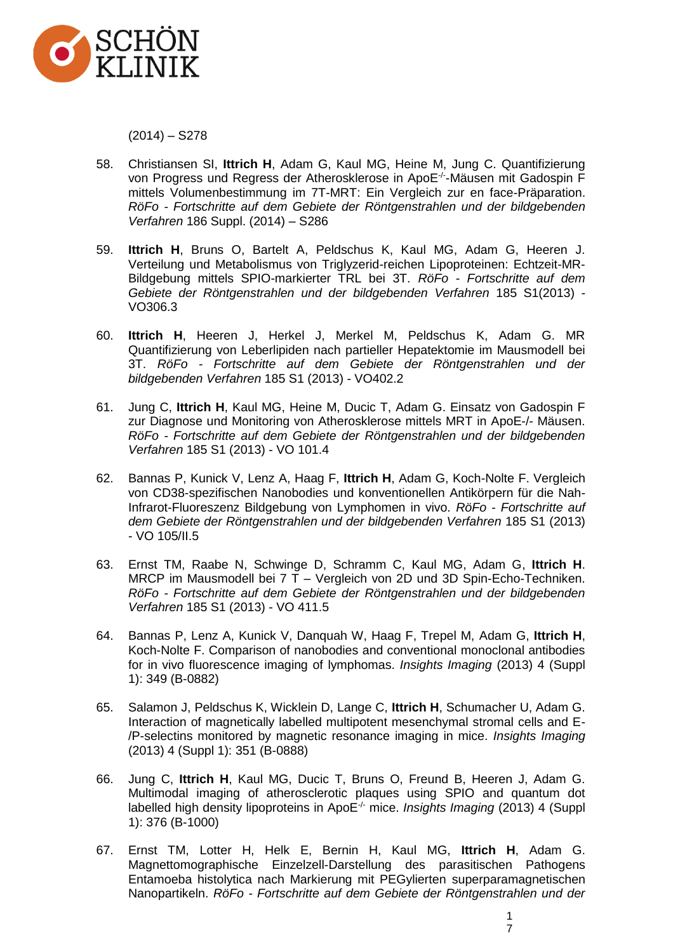

 $(2014) - S278$ 

- 58. Christiansen SI, **Ittrich H**, Adam G, Kaul MG, Heine M, Jung C. Quantifizierung von Progress und Regress der Atherosklerose in ApoE-/- -Mäusen mit Gadospin F mittels Volumenbestimmung im 7T-MRT: Ein Vergleich zur en face-Präparation. *RöFo - Fortschritte auf dem Gebiete der Röntgenstrahlen und der bildgebenden Verfahren* 186 Suppl. (2014) – S286
- 59. **Ittrich H**, Bruns O, Bartelt A, Peldschus K, Kaul MG, Adam G, Heeren J. Verteilung und Metabolismus von Triglyzerid-reichen Lipoproteinen: Echtzeit-MR-Bildgebung mittels SPIO-markierter TRL bei 3T. *RöFo - Fortschritte auf dem Gebiete der Röntgenstrahlen und der bildgebenden Verfahren* 185 S1(2013) - VO306.3
- 60. **Ittrich H**, Heeren J, Herkel J, Merkel M, Peldschus K, Adam G. MR Quantifizierung von Leberlipiden nach partieller Hepatektomie im Mausmodell bei 3T. *RöFo - Fortschritte auf dem Gebiete der Röntgenstrahlen und der bildgebenden Verfahren* 185 S1 (2013) - VO402.2
- 61. Jung C, **Ittrich H**, Kaul MG, Heine M, Ducic T, Adam G. Einsatz von Gadospin F zur Diagnose und Monitoring von Atherosklerose mittels MRT in ApoE-/- Mäusen. *RöFo - Fortschritte auf dem Gebiete der Röntgenstrahlen und der bildgebenden Verfahren* 185 S1 (2013) - VO 101.4
- 62. Bannas P, Kunick V, Lenz A, Haag F, **Ittrich H**, Adam G, Koch-Nolte F. Vergleich von CD38-spezifischen Nanobodies und konventionellen Antikörpern für die Nah-Infrarot-Fluoreszenz Bildgebung von Lymphomen in vivo. *RöFo - Fortschritte auf dem Gebiete der Röntgenstrahlen und der bildgebenden Verfahren* 185 S1 (2013) - VO 105/II.5
- 63. Ernst TM, Raabe N, Schwinge D, Schramm C, Kaul MG, Adam G, **Ittrich H**. MRCP im Mausmodell bei 7 T – Vergleich von 2D und 3D Spin-Echo-Techniken. *RöFo - Fortschritte auf dem Gebiete der Röntgenstrahlen und der bildgebenden Verfahren* 185 S1 (2013) - VO 411.5
- 64. Bannas P, Lenz A, Kunick V, Danquah W, Haag F, Trepel M, Adam G, **Ittrich H**, Koch-Nolte F. Comparison of nanobodies and conventional monoclonal antibodies for in vivo fluorescence imaging of lymphomas. *Insights Imaging* (2013) 4 (Suppl 1): 349 (B-0882)
- 65. Salamon J, Peldschus K, Wicklein D, Lange C, **Ittrich H**, Schumacher U, Adam G. Interaction of magnetically labelled multipotent mesenchymal stromal cells and E- /P-selectins monitored by magnetic resonance imaging in mice. *Insights Imaging* (2013) 4 (Suppl 1): 351 (B-0888)
- 66. Jung C, **Ittrich H**, Kaul MG, Ducic T, Bruns O, Freund B, Heeren J, Adam G. Multimodal imaging of atherosclerotic plaques using SPIO and quantum dot labelled high density lipoproteins in ApoE-/- mice. *Insights Imaging* (2013) 4 (Suppl 1): 376 (B-1000)
- 67. Ernst TM, Lotter H, Helk E, Bernin H, Kaul MG, **Ittrich H**, Adam G. [Magnettomographische Einzelzell-Darstellung des parasitischen Pathogens](https://www.thieme-connect.de/ejournals/abstract/10.1055/s-0032-1311030)  [Entamoeba histolytica nach Markierung mit PEGylierten superparamagnetischen](https://www.thieme-connect.de/ejournals/abstract/10.1055/s-0032-1311030)  [Nanopartikeln.](https://www.thieme-connect.de/ejournals/abstract/10.1055/s-0032-1311030) *RöFo - Fortschritte auf dem Gebiete der Röntgenstrahlen und der*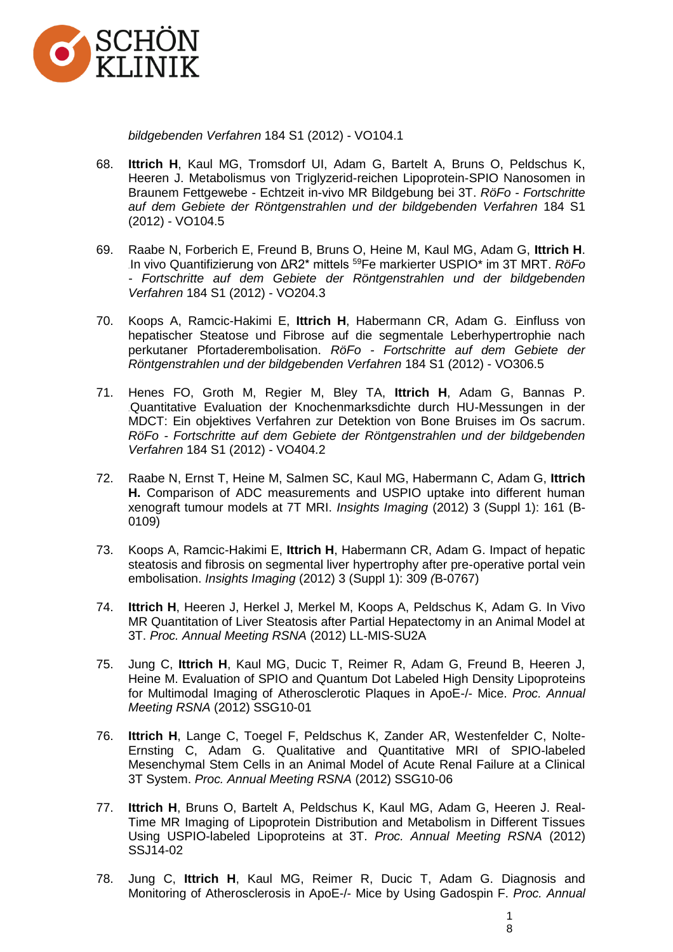

*bildgebenden Verfahren* 184 S1 (2012) - VO104.1

- 68. **Ittrich H**, Kaul MG, Tromsdorf UI, Adam G, Bartelt A, Bruns O, Peldschus K, Heeren J. [Metabolismus von Triglyzerid-reichen Lipoprotein-SPIO Nanosomen in](https://www.thieme-connect.de/ejournals/abstract/10.1055/s-0032-1311034)  Braunem Fettgewebe - [Echtzeit in-vivo MR Bildgebung bei 3T.](https://www.thieme-connect.de/ejournals/abstract/10.1055/s-0032-1311034) *RöFo - Fortschritte auf dem Gebiete der Röntgenstrahlen und der bildgebenden Verfahren* 184 S1 (2012) - VO104.5
- 69. Raabe N, Forberich E, Freund B, Bruns O, Heine M, Kaul MG, Adam G, **Ittrich H**. 96H[In vivo Quantifizierung von ΔR2\\* mittels](https://www.thieme-connect.de/ejournals/abstract/10.1055/s-0032-1311064) <sup>59</sup>Fe markierter USPIO\* im 3T MRT. *RöFo - Fortschritte auf dem Gebiete der Röntgenstrahlen und der bildgebenden Verfahren* 184 S1 (2012) - VO204.3
- 70. Koops A, Ramcic-Hakimi E, lttrich H, Habermann CR, Adam G. Einfluss von [hepatischer Steatose und Fibrose auf die segmentale Leberhypertrophie nach](https://www.thieme-connect.de/ejournals/abstract/10.1055/s-0032-1311188)  [perkutaner Pfortaderembolisation.](https://www.thieme-connect.de/ejournals/abstract/10.1055/s-0032-1311188) *RöFo - Fortschritte auf dem Gebiete der Röntgenstrahlen und der bildgebenden Verfahren* 184 S1 (2012) - VO306.5
- 71. Henes FO, Groth M, Regier M, Bley TA, **Ittrich H**, Adam G, Bannas P. Quantitative Evaluation der Knochenmarksdichte durch HU-Messungen in der [MDCT: Ein objektives Verfahren zur Detektion von Bone Bruises im Os sacrum.](https://www.thieme-connect.de/ejournals/abstract/10.1055/s-0032-1311294) *RöFo - Fortschritte auf dem Gebiete der Röntgenstrahlen und der bildgebenden Verfahren* 184 S1 (2012) - VO404.2
- 72. Raabe N, Ernst T, Heine M, Salmen SC, Kaul MG, Habermann C, Adam G, **Ittrich H.** Comparison of ADC measurements and USPIO uptake into different human xenograft tumour models at 7T MRI. *Insights Imaging* (2012) 3 (Suppl 1): 161 (B-0109)
- 73. Koops A, Ramcic-Hakimi E, **Ittrich H**, Habermann CR, Adam G. Impact of hepatic steatosis and fibrosis on segmental liver hypertrophy after pre-operative portal vein embolisation. *Insights Imaging* (2012) 3 (Suppl 1): 309 *(*B-0767)
- 74. **Ittrich H**, Heeren J, Herkel J, Merkel M, Koops A, Peldschus K, Adam G. In Vivo MR Quantitation of Liver Steatosis after Partial Hepatectomy in an Animal Model at 3T. *Proc. Annual Meeting RSNA* (2012) LL-MIS-SU2A
- 75. Jung C, **Ittrich H**, Kaul MG, Ducic T, Reimer R, Adam G, Freund B, Heeren J, Heine M. Evaluation of SPIO and Quantum Dot Labeled High Density Lipoproteins for Multimodal Imaging of Atherosclerotic Plaques in ApoE-/- Mice. *Proc. Annual Meeting RSNA* (2012) SSG10-01
- 76. **Ittrich H**, Lange C, Toegel F, Peldschus K, Zander AR, Westenfelder C, Nolte-Ernsting C, Adam G. Qualitative and Quantitative MRI of SPIO-labeled Mesenchymal Stem Cells in an Animal Model of Acute Renal Failure at a Clinical 3T System. *Proc. Annual Meeting RSNA* (2012) SSG10-06
- 77. **Ittrich H**, Bruns O, Bartelt A, Peldschus K, Kaul MG, Adam G, Heeren J. Real-Time MR Imaging of Lipoprotein Distribution and Metabolism in Different Tissues Using USPIO-labeled Lipoproteins at 3T. *Proc. Annual Meeting RSNA* (2012) SSJ14-02
- 78. Jung C, **Ittrich H**, Kaul MG, Reimer R, Ducic T, Adam G. Diagnosis and Monitoring of Atherosclerosis in ApoE-/- Mice by Using Gadospin F. *Proc. Annual*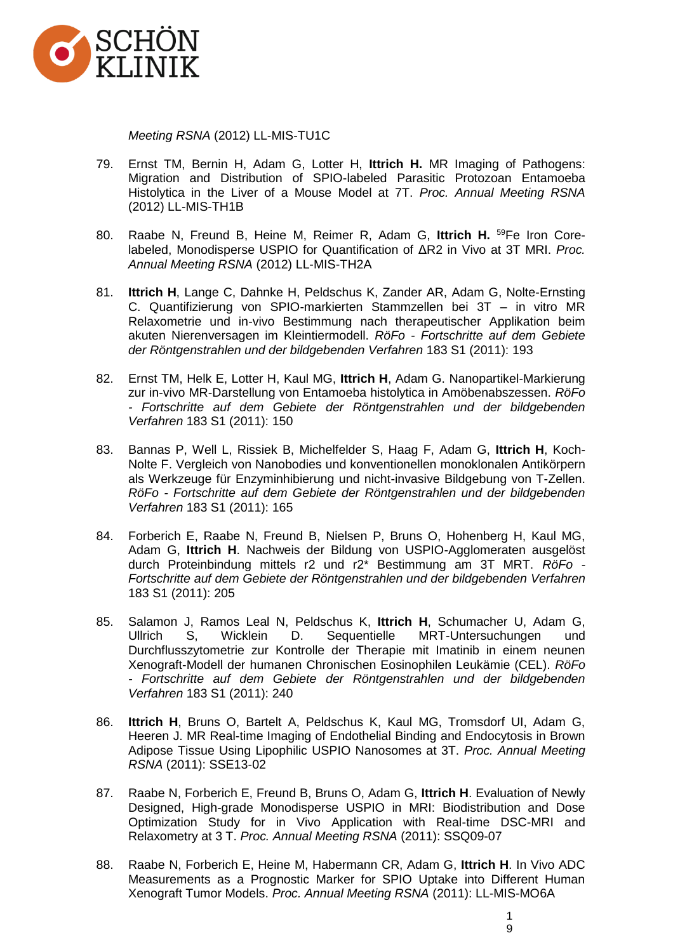

*Meeting RSNA* (2012) LL-MIS-TU1C

- 79. Ernst TM, Bernin H, Adam G, Lotter H, **Ittrich H.** MR Imaging of Pathogens: Migration and Distribution of SPIO-labeled Parasitic Protozoan Entamoeba Histolytica in the Liver of a Mouse Model at 7T. *Proc. Annual Meeting RSNA*  (2012) LL-MIS-TH1B
- 80. Raabe N, Freund B, Heine M, Reimer R, Adam G, **Ittrich H.** <sup>59</sup>Fe Iron Corelabeled, Monodisperse USPIO for Quantification of ΔR2 in Vivo at 3T MRI. *Proc. Annual Meeting RSNA* (2012) LL-MIS-TH2A
- 81. **Ittrich H**, Lange C, Dahnke H, Peldschus K, Zander AR, Adam G, Nolte-Ernsting C. Quantifizierung von SPIO-markierten Stammzellen bei 3T – in vitro MR Relaxometrie und in-vivo Bestimmung nach therapeutischer Applikation beim akuten Nierenversagen im Kleintiermodell. *RöFo - Fortschritte auf dem Gebiete der Röntgenstrahlen und der bildgebenden Verfahren* 183 S1 (2011): 193
- 82. Ernst TM, Helk E, Lotter H, Kaul MG, **Ittrich H**, Adam G. Nanopartikel-Markierung zur in-vivo MR-Darstellung von Entamoeba histolytica in Amöbenabszessen. *RöFo - Fortschritte auf dem Gebiete der Röntgenstrahlen und der bildgebenden Verfahren* 183 S1 (2011): 150
- 83. Bannas P, Well L, Rissiek B, Michelfelder S, Haag F, Adam G, **Ittrich H**, Koch-Nolte F. Vergleich von Nanobodies und konventionellen monoklonalen Antikörpern als Werkzeuge für Enzyminhibierung und nicht-invasive Bildgebung von T-Zellen. *RöFo - Fortschritte auf dem Gebiete der Röntgenstrahlen und der bildgebenden Verfahren* 183 S1 (2011): 165
- 84. Forberich E, Raabe N, Freund B, Nielsen P, Bruns O, Hohenberg H, Kaul MG, Adam G, **Ittrich H**. Nachweis der Bildung von USPIO-Agglomeraten ausgelöst durch Proteinbindung mittels r2 und r2\* Bestimmung am 3T MRT. *RöFo - Fortschritte auf dem Gebiete der Röntgenstrahlen und der bildgebenden Verfahren*  183 S1 (2011): 205
- 85. Salamon J, Ramos Leal N, Peldschus K, **Ittrich H**, Schumacher U, Adam G, Ullrich S, Wicklein D. Sequentielle MRT-Untersuchungen und Durchflusszytometrie zur Kontrolle der Therapie mit Imatinib in einem neunen Xenograft-Modell der humanen Chronischen Eosinophilen Leukämie (CEL). *RöFo - Fortschritte auf dem Gebiete der Röntgenstrahlen und der bildgebenden Verfahren* 183 S1 (2011): 240
- 86. **Ittrich H**, Bruns O, Bartelt A, Peldschus K, Kaul MG, Tromsdorf UI, Adam G, Heeren J. MR Real-time Imaging of Endothelial Binding and Endocytosis in Brown Adipose Tissue Using Lipophilic USPIO Nanosomes at 3T. *Proc. Annual Meeting RSNA* (2011): SSE13-02
- 87. Raabe N, Forberich E, Freund B, Bruns O, Adam G, **Ittrich H**. Evaluation of Newly Designed, High-grade Monodisperse USPIO in MRI: Biodistribution and Dose Optimization Study for in Vivo Application with Real-time DSC-MRI and Relaxometry at 3 T. *Proc. Annual Meeting RSNA* (2011): SSQ09-07
- 88. Raabe N, Forberich E, Heine M, Habermann CR, Adam G, **Ittrich H**. In Vivo ADC Measurements as a Prognostic Marker for SPIO Uptake into Different Human Xenograft Tumor Models. *Proc. Annual Meeting RSNA* (2011): LL-MIS-MO6A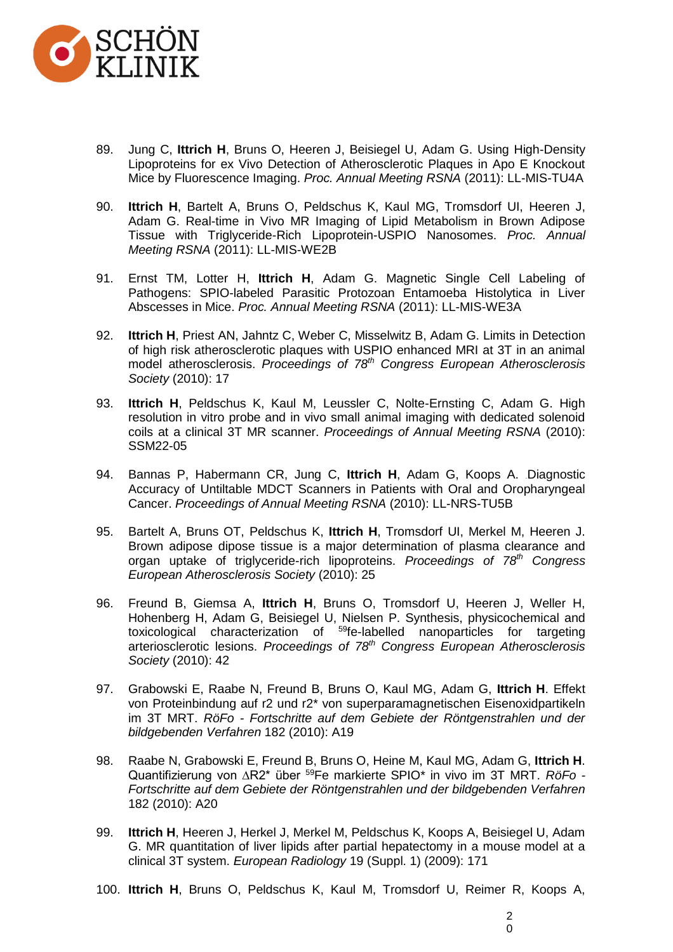

- 89. Jung C, **Ittrich H**, Bruns O, Heeren J, Beisiegel U, Adam G. Using High-Density Lipoproteins for ex Vivo Detection of Atherosclerotic Plaques in Apo E Knockout Mice by Fluorescence Imaging. *Proc. Annual Meeting RSNA* (2011): LL-MIS-TU4A
- 90. **Ittrich H**, Bartelt A, Bruns O, Peldschus K, Kaul MG, Tromsdorf UI, Heeren J, Adam G. Real-time in Vivo MR Imaging of Lipid Metabolism in Brown Adipose Tissue with Triglyceride-Rich Lipoprotein-USPIO Nanosomes. *Proc. Annual Meeting RSNA* (2011): LL-MIS-WE2B
- 91. Ernst TM, Lotter H, **Ittrich H**, Adam G. Magnetic Single Cell Labeling of Pathogens: SPIO-labeled Parasitic Protozoan Entamoeba Histolytica in Liver Abscesses in Mice. *Proc. Annual Meeting RSNA* (2011): LL-MIS-WE3A
- 92. **Ittrich H**, Priest AN, Jahntz C, Weber C, Misselwitz B, Adam G. Limits in Detection of high risk atherosclerotic plaques with USPIO enhanced MRI at 3T in an animal model atherosclerosis. *Proceedings of 78th Congress European Atherosclerosis Society* (2010): 17
- 93. **Ittrich H**, Peldschus K, Kaul M, Leussler C, Nolte-Ernsting C, Adam G. High resolution in vitro probe and in vivo small animal imaging with dedicated solenoid coils at a clinical 3T MR scanner. *Proceedings of Annual Meeting RSNA* (2010): SSM22-05
- 94. Bannas P, Habermann CR, Jung C, Ittrich H, Adam G, Koops A. Diagnostic [Accuracy of Untiltable MDCT Scanners in Patients with Oral and Oropharyngeal](javascript:launchAttendeeExtWindow()  [Cancer.](javascript:launchAttendeeExtWindow() *Proceedings of Annual Meeting RSNA* (2010): LL-NRS-TU5B
- 95. Bartelt A, Bruns OT, Peldschus K, **Ittrich H**, Tromsdorf UI, Merkel M, Heeren J. Brown adipose dipose tissue is a major determination of plasma clearance and organ uptake of triglyceride-rich lipoproteins. *Proceedings of 78th Congress European Atherosclerosis Society* (2010): 25
- 96. Freund B, Giemsa A, **Ittrich H**, Bruns O, Tromsdorf U, Heeren J, Weller H, Hohenberg H, Adam G, Beisiegel U, Nielsen P. Synthesis, physicochemical and toxicological characterization of <sup>59</sup>fe-labelled nanoparticles for targeting arteriosclerotic lesions. *Proceedings of 78th Congress European Atherosclerosis Society* (2010): 42
- 97. Grabowski E, Raabe N, Freund B, Bruns O, Kaul MG, Adam G, **Ittrich H**. Effekt von Proteinbindung auf r2 und r2\* von superparamagnetischen Eisenoxidpartikeln im 3T MRT. *RöFo - Fortschritte auf dem Gebiete der Röntgenstrahlen und der bildgebenden Verfahren* 182 (2010): A19
- 98. Raabe N, Grabowski E, Freund B, Bruns O, Heine M, Kaul MG, Adam G, **Ittrich H**. Quantifizierung von ∆R2\* über <sup>59</sup>Fe markierte SPIO\* in vivo im 3T MRT. *RöFo - Fortschritte auf dem Gebiete der Röntgenstrahlen und der bildgebenden Verfahren*  182 (2010): A20
- 99. **Ittrich H**, Heeren J, Herkel J, Merkel M, Peldschus K, Koops A, Beisiegel U, Adam G. MR quantitation of liver lipids after partial hepatectomy in a mouse model at a clinical 3T system. *European Radiology* 19 (Suppl. 1) (2009): 171
- 100. **Ittrich H**, Bruns O, Peldschus K, Kaul M, Tromsdorf U, Reimer R, Koops A,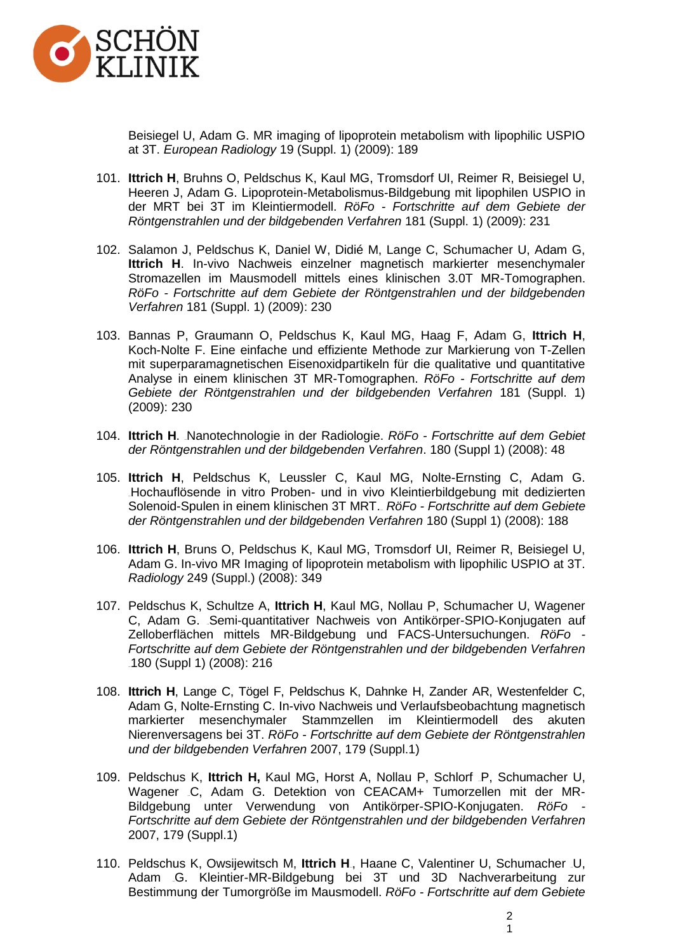

Beisiegel U, Adam G. MR imaging of lipoprotein metabolism with lipophilic USPIO at 3T. *European Radiology* 19 (Suppl. 1) (2009): 189

- 101. **Ittrich H**, Bruhns O, Peldschus K, Kaul MG, Tromsdorf UI, Reimer R, Beisiegel U, Heeren J, Adam G. Lipoprotein-Metabolismus-Bildgebung mit lipophilen USPIO in der MRT bei 3T im Kleintiermodell. *RöFo - Fortschritte auf dem Gebiete der Röntgenstrahlen und der bildgebenden Verfahren* 181 (Suppl. 1) (2009): 231
- 102. Salamon J, Peldschus K, Daniel W, Didié M, Lange C, Schumacher U, Adam G, **Ittrich H**. In-vivo Nachweis einzelner magnetisch markierter mesenchymaler Stromazellen im Mausmodell mittels eines klinischen 3.0T MR-Tomographen. *RöFo - Fortschritte auf dem Gebiete der Röntgenstrahlen und der bildgebenden Verfahren* 181 (Suppl. 1) (2009): 230
- 103. Bannas P, Graumann O, Peldschus K, Kaul MG, Haag F, Adam G, **Ittrich H**, Koch-Nolte F. Eine einfache und effiziente Methode zur Markierung von T-Zellen mit superparamagnetischen Eisenoxidpartikeln für die qualitative und quantitative Analyse in einem klinischen 3T MR-Tomographen. *RöFo - Fortschritte auf dem Gebiete der Röntgenstrahlen und der bildgebenden Verfahren* 181 (Suppl. 1) (2009): 230
- 104. Ittrich H. [Nanotechnologie in der Radiologie.](http://www.thieme-connect.com/ejournals/abstract/roefo/doi/10.1055/s-2008-1073195) *RöFo Fortschritte auf dem Gebiet [der Röntgenstrahlen und der bildgebenden Verfahren](http://www.thieme-connect.com/ejournals/toc/roefo/33408/grouping/53455)*. 180 (Suppl 1) (2008): 48
- 105. **Ittrich H**, Peldschus K, Leussler C, Kaul MG, Nolte-Ernsting C, Adam G. Hochauflösende in vitro Proben- und in vivo Kleintierbildgebung mit dedizierten [Solenoid-Spulen in einem klinischen 3T MRT.](http://www.thieme-connect.com/ejournals/abstract/roefo/doi/10.1055/s-2008-1073651) RöFo - Fortschritte auf dem Gebiete *[der Röntgenstrahlen und der bildgebenden Verfahren](http://www.thieme-connect.com/ejournals/toc/roefo/33408/grouping/53579)* 180 (Suppl 1) (2008): 188
- 106. **Ittrich H**, Bruns O, Peldschus K, Kaul MG, Tromsdorf UI, Reimer R, Beisiegel U, Adam G. In-vivo MR Imaging of lipoprotein metabolism with lipophilic USPIO at 3T. *Radiology* 249 (Suppl.) (2008): 349
- 107. Peldschus K, Schultze A, **Ittrich H**, Kaul MG, Nollau P, Schumacher U, Wagener C, Adam G. Semi-quantitativer Nachweis von Antikörper-SPIO-Konjugaten auf [Zelloberflächen mittels MR-Bildgebung und FACS-Untersuchungen.](http://www.thieme-connect.com/ejournals/abstract/roefo/doi/10.1055/s-2008-1073738) *RöFo - Fortschritte auf dem Gebiete der Röntgenstrahlen und der bildgebenden Verfahren*  $180$  (Suppl 1) (2008): 216
- 108. **Ittrich H**, Lange C, Tögel F, Peldschus K, Dahnke H, Zander AR, Westenfelder C, Adam G, Nolte-Ernsting C. In-vivo Nachweis und Verlaufsbeobachtung magnetisch markierter mesenchymaler Stammzellen im Kleintiermodell des akuten Nierenversagens bei 3T. *RöFo - Fortschritte auf dem Gebiete der Röntgenstrahlen und der bildgebenden Verfahren* 2007, 179 (Suppl.1)
- 109. Peldschus K, **Ittrich H, Kaul MG, Horst A, Nollau [P,](http://www.thieme-connect.de/ejournals/abstract/roefo/doi/10.1055/s-2007-976997#VO_304_8_2#VO_304_8_2) Schlorf <sub>-</sub>P, Schumacher U,** Wagener [C,](http://www.thieme-connect.de/ejournals/abstract/roefo/doi/10.1055/s-2007-976997#VO_304_8_1#VO_304_8_1) Adam G. Detektion von CEACAM+ Tumorzellen mit der MR-Bildgebung unter Verwendung von Antikörper-SPIO-Konjugaten. *RöFo - Fortschritte auf dem Gebiete der Röntgenstrahlen und der bildgebenden Verfahren*  2007, 179 (Suppl.1)
- 110. Peldschus K, Owsijewitsch M, **Ittrich H**., Haane C, Valentiner [U,](http://www.thieme-connect.de/ejournals/abstract/roefo/doi/10.1055/s-2007-977169#VO_403_8_1#VO_403_8_1) Schumacher U, Adam [G.](http://www.thieme-connect.de/ejournals/abstract/roefo/doi/10.1055/s-2007-977169#VO_403_8_1#VO_403_8_1) Kleintier-MR-Bildgebung bei 3T und 3D Nachverarbeitung zur Bestimmung der Tumorgröße im Mausmodell. *RöFo - Fortschritte auf dem Gebiete*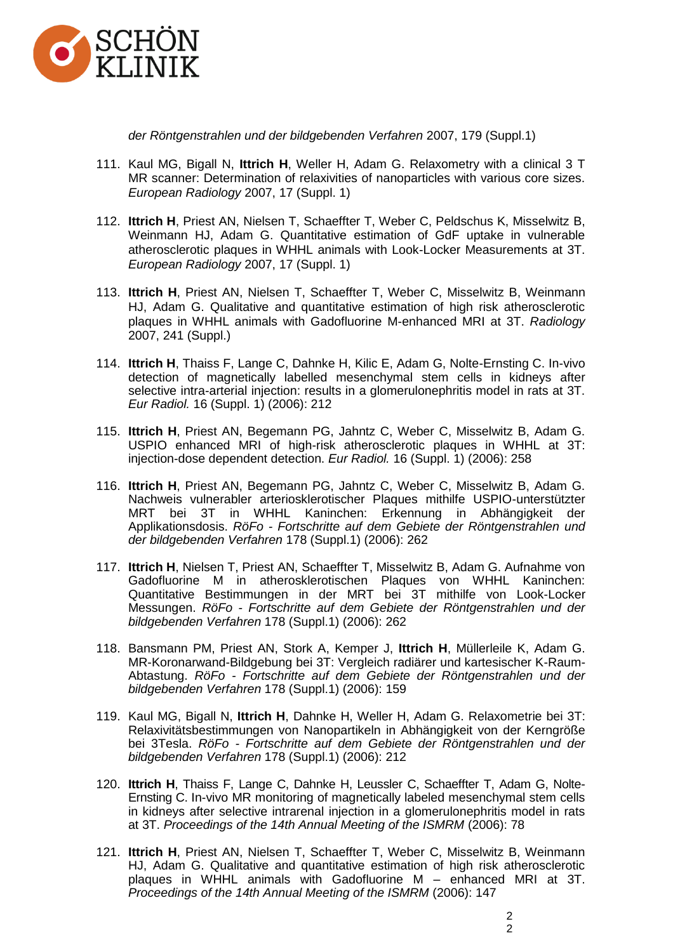

*der Röntgenstrahlen und der bildgebenden Verfahren* 2007, 179 (Suppl.1)

- 111. Kaul MG, Bigall N, **Ittrich H**, Weller H, Adam G. Relaxometry with a clinical 3 T MR scanner: Determination of relaxivities of nanoparticles with various core sizes. *European Radiology* 2007, 17 (Suppl. 1)
- 112. **Ittrich H**, Priest AN, Nielsen T, Schaeffter T, Weber C, Peldschus K, Misselwitz B, Weinmann HJ, Adam G. Quantitative estimation of GdF uptake in vulnerable atherosclerotic plaques in WHHL animals with Look-Locker Measurements at 3T. *European Radiology* 2007, 17 (Suppl. 1)
- 113. **Ittrich H**, Priest AN, Nielsen T, Schaeffter T, Weber C, Misselwitz B, Weinmann HJ, Adam G. Qualitative and quantitative estimation of high risk atherosclerotic plaques in WHHL animals with Gadofluorine M-enhanced MRI at 3T. *Radiology*  2007, 241 (Suppl.)
- 114. **Ittrich H**, Thaiss F, Lange C, Dahnke H, Kilic E, Adam G, Nolte-Ernsting C. In-vivo detection of magnetically labelled mesenchymal stem cells in kidneys after selective intra-arterial injection: results in a glomerulonephritis model in rats at 3T. *Eur Radiol.* 16 (Suppl. 1) (2006): 212
- 115. **Ittrich H**, Priest AN, Begemann PG, Jahntz C, Weber C, Misselwitz B, Adam G. USPIO enhanced MRI of high-risk atherosclerotic plaques in WHHL at 3T: injection-dose dependent detection. *Eur Radiol.* 16 (Suppl. 1) (2006): 258
- 116. **Ittrich H**, Priest AN, Begemann PG, Jahntz C, Weber C, Misselwitz B, Adam G. Nachweis vulnerabler arteriosklerotischer Plaques mithilfe USPIO-unterstützter MRT bei 3T in WHHL Kaninchen: Erkennung in Abhängigkeit der Applikationsdosis. *RöFo - Fortschritte auf dem Gebiete der Röntgenstrahlen und der bildgebenden Verfahren* 178 (Suppl.1) (2006): 262
- 117. **Ittrich H**, Nielsen T, Priest AN, Schaeffter T, Misselwitz B, Adam G. Aufnahme von Gadofluorine M in atherosklerotischen Plaques von WHHL Kaninchen: Quantitative Bestimmungen in der MRT bei 3T mithilfe von Look-Locker Messungen. *RöFo - Fortschritte auf dem Gebiete der Röntgenstrahlen und der bildgebenden Verfahren* 178 (Suppl.1) (2006): 262
- 118. Bansmann PM, Priest AN, Stork A, Kemper J, **Ittrich H**, Müllerleile K, Adam G. MR-Koronarwand-Bildgebung bei 3T: Vergleich radiärer und kartesischer K-Raum-Abtastung. *RöFo - Fortschritte auf dem Gebiete der Röntgenstrahlen und der bildgebenden Verfahren* 178 (Suppl.1) (2006): 159
- 119. Kaul MG, Bigall N, **Ittrich H**, Dahnke H, Weller H, Adam G. Relaxometrie bei 3T: Relaxivitätsbestimmungen von Nanopartikeln in Abhängigkeit von der Kerngröße bei 3Tesla. *RöFo - Fortschritte auf dem Gebiete der Röntgenstrahlen und der bildgebenden Verfahren* 178 (Suppl.1) (2006): 212
- 120. **Ittrich H**, Thaiss F, Lange C, Dahnke H, Leussler C, Schaeffter T, Adam G, Nolte-Ernsting C. In-vivo MR monitoring of magnetically labeled mesenchymal stem cells in kidneys after selective intrarenal injection in a glomerulonephritis model in rats at 3T. *Proceedings of the 14th Annual Meeting of the ISMRM* (2006): 78
- 121. **Ittrich H**, Priest AN, Nielsen T, Schaeffter T, Weber C, Misselwitz B, Weinmann HJ, Adam G. Qualitative and quantitative estimation of high risk atherosclerotic plaques in WHHL animals with Gadofluorine M – enhanced MRI at 3T. *Proceedings of the 14th Annual Meeting of the ISMRM* (2006): 147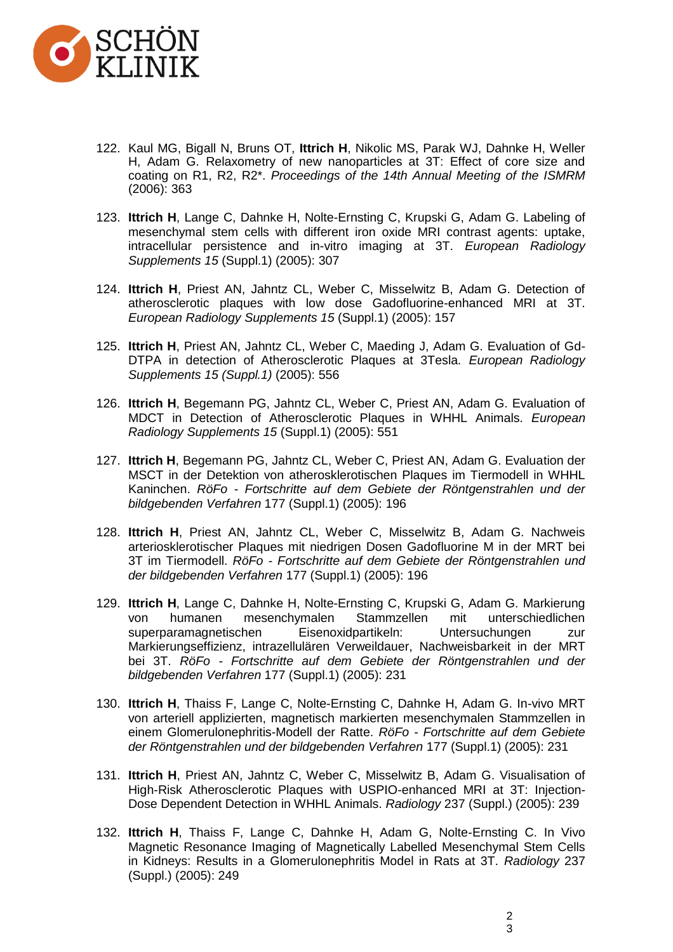

- 122. Kaul MG, Bigall N, Bruns OT, **Ittrich H**, Nikolic MS, Parak WJ, Dahnke H, Weller H, Adam G. Relaxometry of new nanoparticles at 3T: Effect of core size and coating on R1, R2, R2\*. *Proceedings of the 14th Annual Meeting of the ISMRM*  (2006): 363
- 123. **Ittrich H**, Lange C, Dahnke H, Nolte-Ernsting C, Krupski G, Adam G. Labeling of mesenchymal stem cells with different iron oxide MRI contrast agents: uptake, intracellular persistence and in-vitro imaging at 3T. *European Radiology Supplements 15* (Suppl.1) (2005): 307
- 124. **Ittrich H**, Priest AN, Jahntz CL, Weber C, Misselwitz B, Adam G. Detection of atherosclerotic plaques with low dose Gadofluorine-enhanced MRI at 3T. *European Radiology Supplements 15* (Suppl.1) (2005): 157
- 125. **Ittrich H**, Priest AN, Jahntz CL, Weber C, Maeding J, Adam G. Evaluation of Gd-DTPA in detection of Atherosclerotic Plaques at 3Tesla. *European Radiology Supplements 15 (Suppl.1)* (2005): 556
- 126. **Ittrich H**, Begemann PG, Jahntz CL, Weber C, Priest AN, Adam G. Evaluation of MDCT in Detection of Atherosclerotic Plaques in WHHL Animals. *European Radiology Supplements 15* (Suppl.1) (2005): 551
- 127. **Ittrich H**, Begemann PG, Jahntz CL, Weber C, Priest AN, Adam G. Evaluation der MSCT in der Detektion von atherosklerotischen Plaques im Tiermodell in WHHL Kaninchen. *RöFo - Fortschritte auf dem Gebiete der Röntgenstrahlen und der bildgebenden Verfahren* 177 (Suppl.1) (2005): 196
- 128. **Ittrich H**, Priest AN, Jahntz CL, Weber C, Misselwitz B, Adam G. Nachweis arteriosklerotischer Plaques mit niedrigen Dosen Gadofluorine M in der MRT bei 3T im Tiermodell. *RöFo - Fortschritte auf dem Gebiete der Röntgenstrahlen und der bildgebenden Verfahren* 177 (Suppl.1) (2005): 196
- 129. **Ittrich H**, Lange C, Dahnke H, Nolte-Ernsting C, Krupski G, Adam G. Markierung von humanen mesenchymalen Stammzellen mit unterschiedlichen<br>superparamagnetischen Eisenoxidpartikeln: Untersuchungen zur superparamagnetischen Eisenoxidpartikeln: Untersuchungen zur Markierungseffizienz, intrazellulären Verweildauer, Nachweisbarkeit in der MRT bei 3T. *RöFo - Fortschritte auf dem Gebiete der Röntgenstrahlen und der bildgebenden Verfahren* 177 (Suppl.1) (2005): 231
- 130. **Ittrich H**, Thaiss F, Lange C, Nolte-Ernsting C, Dahnke H, Adam G. In-vivo MRT von arteriell applizierten, magnetisch markierten mesenchymalen Stammzellen in einem Glomerulonephritis-Modell der Ratte. *RöFo - Fortschritte auf dem Gebiete der Röntgenstrahlen und der bildgebenden Verfahren* 177 (Suppl.1) (2005): 231
- 131. **Ittrich H**, Priest AN, Jahntz C, Weber C, Misselwitz B, Adam G. Visualisation of High-Risk Atherosclerotic Plaques with USPIO-enhanced MRI at 3T: Injection-Dose Dependent Detection in WHHL Animals. *Radiology* 237 (Suppl.) (2005): 239
- 132. **Ittrich H**, Thaiss F, Lange C, Dahnke H, Adam G, Nolte-Ernsting C. In Vivo Magnetic Resonance Imaging of Magnetically Labelled Mesenchymal Stem Cells in Kidneys: Results in a Glomerulonephritis Model in Rats at 3T. *Radiology* 237 (Suppl.) (2005): 249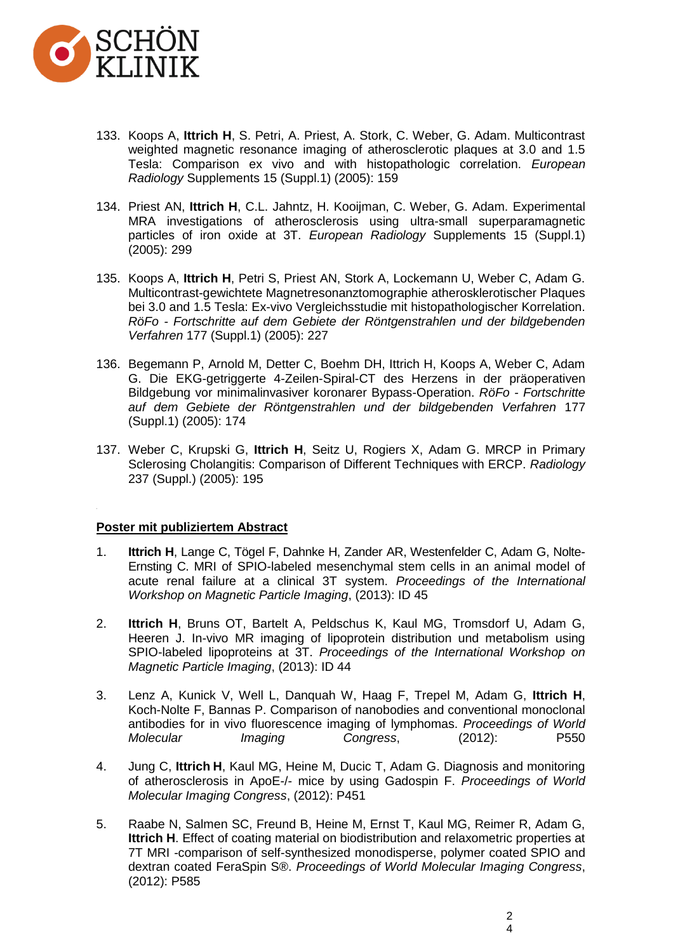

- 133. Koops A, **Ittrich H**, S. Petri, A. Priest, A. Stork, C. Weber, G. Adam. Multicontrast weighted magnetic resonance imaging of atherosclerotic plaques at 3.0 and 1.5 Tesla: Comparison ex vivo and with histopathologic correlation. *European Radiology* Supplements 15 (Suppl.1) (2005): 159
- 134. Priest AN, **Ittrich H**, C.L. Jahntz, H. Kooijman, C. Weber, G. Adam. Experimental MRA investigations of atherosclerosis using ultra-small superparamagnetic particles of iron oxide at 3T. *European Radiology* Supplements 15 (Suppl.1) (2005): 299
- 135. Koops A, **Ittrich H**, Petri S, Priest AN, Stork A, Lockemann U, Weber C, Adam G. Multicontrast-gewichtete Magnetresonanztomographie atherosklerotischer Plaques bei 3.0 and 1.5 Tesla: Ex-vivo Vergleichsstudie mit histopathologischer Korrelation. *RöFo - Fortschritte auf dem Gebiete der Röntgenstrahlen und der bildgebenden Verfahren* 177 (Suppl.1) (2005): 227
- 136. Begemann P, Arnold M, Detter C, Boehm DH, Ittrich H, Koops A, Weber C, Adam G. Die EKG-getriggerte 4-Zeilen-Spiral-CT des Herzens in der präoperativen Bildgebung vor minimalinvasiver koronarer Bypass-Operation. *RöFo - Fortschritte auf dem Gebiete der Röntgenstrahlen und der bildgebenden Verfahren* 177 (Suppl.1) (2005): 174
- 137. Weber C, Krupski G, **Ittrich H**, Seitz U, Rogiers X, Adam G. MRCP in Primary Sclerosing Cholangitis: Comparison of Different Techniques with ERCP. *Radiology* 237 (Suppl.) (2005): 195

#### **Poster mit publiziertem Abstract**

- 1. **Ittrich H**, Lange C, Tögel F, Dahnke H, Zander AR, Westenfelder C, Adam G, Nolte-Ernsting C. MRI of SPIO-labeled mesenchymal stem cells in an animal model of acute renal failure at a clinical 3T system. *Proceedings of the International Workshop on Magnetic Particle Imaging*, (2013): ID 45
- 2. **Ittrich H**, Bruns OT, Bartelt A, Peldschus K, Kaul MG, Tromsdorf U, Adam G, Heeren J. In-vivo MR imaging of lipoprotein distribution und metabolism using SPIO-labeled lipoproteins at 3T. *Proceedings of the International Workshop on Magnetic Particle Imaging*, (2013): ID 44
- 3. Lenz A, Kunick V, Well L, Danquah W, Haag F, Trepel M, Adam G, **Ittrich H**, Koch-Nolte F, Bannas P. Comparison of nanobodies and conventional monoclonal antibodies for in vivo fluorescence imaging of lymphomas. *Proceedings of World Molecular Imaging Congress*, (2012): P550
- 4. Jung C, **Ittrich H**, Kaul MG, Heine M, Ducic T, Adam G. Diagnosis and monitoring of atherosclerosis in ApoE-/- mice by using Gadospin F. *Proceedings of World Molecular Imaging Congress*, (2012): P451
- 5. Raabe N, Salmen SC, Freund B, Heine M, Ernst T, Kaul MG, Reimer R, Adam G, **Ittrich H**. Effect of coating material on biodistribution and relaxometric properties at 7T MRI -comparison of self-synthesized monodisperse, polymer coated SPIO and dextran coated FeraSpin S®. *Proceedings of World Molecular Imaging Congress*, (2012): P585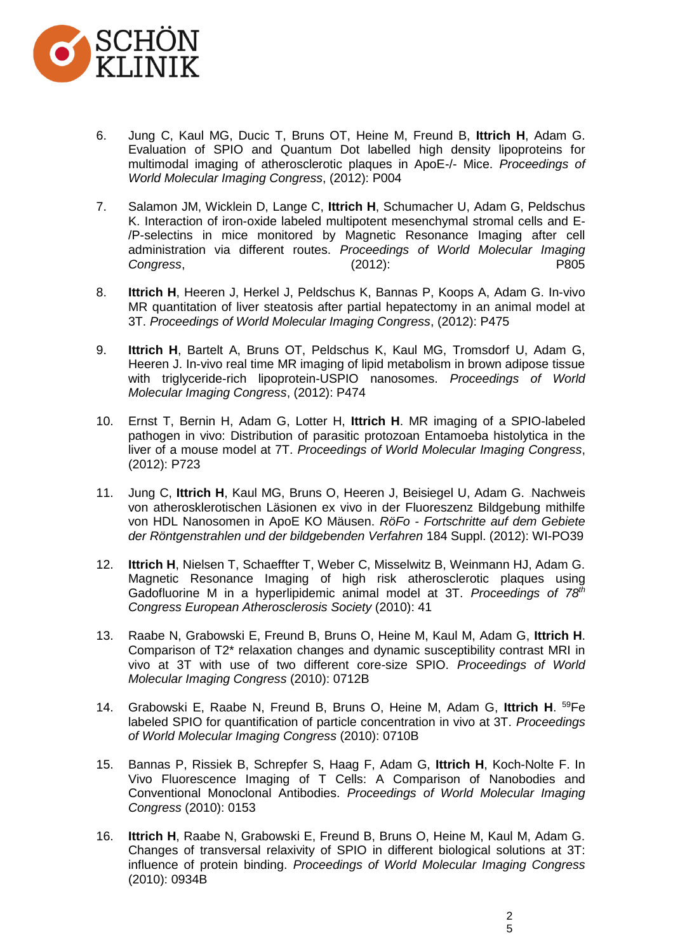

- 6. Jung C, Kaul MG, Ducic T, Bruns OT, Heine M, Freund B, **Ittrich H**, Adam G. Evaluation of SPIO and Quantum Dot labelled high density lipoproteins for multimodal imaging of atherosclerotic plaques in ApoE-/- Mice. *Proceedings of World Molecular Imaging Congress*, (2012): P004
- 7. Salamon JM, Wicklein D, Lange C, **Ittrich H**, Schumacher U, Adam G, Peldschus K. Interaction of iron-oxide labeled multipotent mesenchymal stromal cells and E- /P-selectins in mice monitored by Magnetic Resonance Imaging after cell administration via different routes. *Proceedings of World Molecular Imaging Congress*, (2012): P805
- 8. **Ittrich H**, Heeren J, Herkel J, Peldschus K, Bannas P, Koops A, Adam G. In-vivo MR quantitation of liver steatosis after partial hepatectomy in an animal model at 3T. *Proceedings of World Molecular Imaging Congress*, (2012): P475
- 9. **Ittrich H**, Bartelt A, Bruns OT, Peldschus K, Kaul MG, Tromsdorf U, Adam G, Heeren J. In-vivo real time MR imaging of lipid metabolism in brown adipose tissue with triglyceride-rich lipoprotein-USPIO nanosomes. *Proceedings of World Molecular Imaging Congress*, (2012): P474
- 10. Ernst T, Bernin H, Adam G, Lotter H, **Ittrich H**. MR imaging of a SPIO-labeled pathogen in vivo: Distribution of parasitic protozoan Entamoeba histolytica in the liver of a mouse model at 7T. *Proceedings of World Molecular Imaging Congress*, (2012): P723
- 11. Jung C, Ittrich H, Kaul MG, Bruns O, Heeren J, Beisiegel U, Adam G. Nachweis [von atherosklerotischen Läsionen ex vivo in der Fluoreszenz Bildgebung mithilfe](https://www.thieme-connect.de/ejournals/abstract/10.1055/s-0032-1311460)  [von HDL Nanosomen in ApoE KO Mäusen.](https://www.thieme-connect.de/ejournals/abstract/10.1055/s-0032-1311460) *RöFo - Fortschritte auf dem Gebiete der Röntgenstrahlen und der bildgebenden Verfahren* 184 Suppl. (2012): WI-PO39
- 12. **Ittrich H**, Nielsen T, Schaeffter T, Weber C, Misselwitz B, Weinmann HJ, Adam G. Magnetic Resonance Imaging of high risk atherosclerotic plaques using Gadofluorine M in a hyperlipidemic animal model at 3T. *Proceedings of 78th Congress European Atherosclerosis Society* (2010): 41
- 13. Raabe N, Grabowski E, Freund B, Bruns O, Heine M, Kaul M, Adam G, **Ittrich H**. Comparison of T2\* relaxation changes and dynamic susceptibility contrast MRI in vivo at 3T with use of two different core-size SPIO. *Proceedings of World Molecular Imaging Congress* (2010): 0712B
- 14. Grabowski E, Raabe N, Freund B, Bruns O, Heine M, Adam G, **Ittrich H**. <sup>59</sup>Fe labeled SPIO for quantification of particle concentration in vivo at 3T. *Proceedings of World Molecular Imaging Congress* (2010): 0710B
- 15. Bannas P, Rissiek B, Schrepfer S, Haag F, Adam G, **Ittrich H**, Koch-Nolte F. In Vivo Fluorescence Imaging of T Cells: A Comparison of Nanobodies and Conventional Monoclonal Antibodies. *Proceedings of World Molecular Imaging Congress* (2010): 0153
- 16. **Ittrich H**, Raabe N, Grabowski E, Freund B, Bruns O, Heine M, Kaul M, Adam G. Changes of transversal relaxivity of SPIO in different biological solutions at 3T: influence of protein binding. *Proceedings of World Molecular Imaging Congress* (2010): 0934B